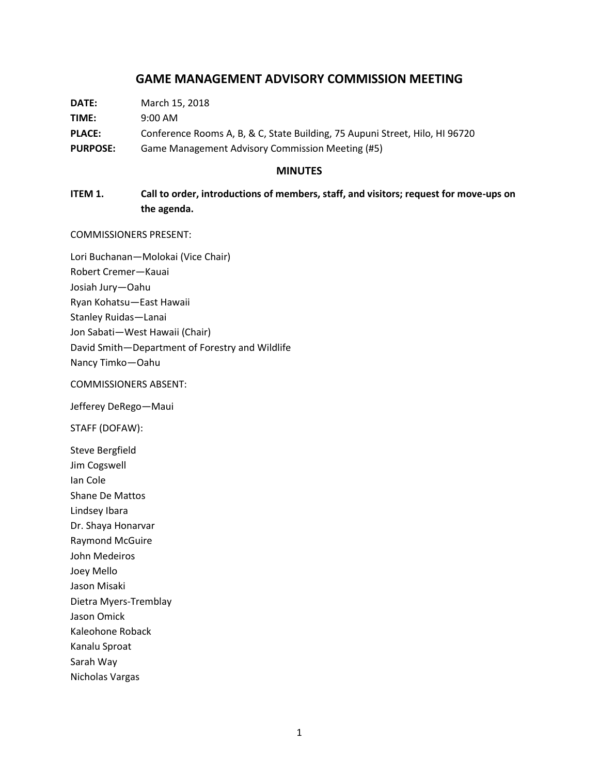# **GAME MANAGEMENT ADVISORY COMMISSION MEETING**

| DATE:           | March 15, 2018                                                               |
|-----------------|------------------------------------------------------------------------------|
| TIME:           | $9:00 \text{ AM}$                                                            |
| <b>PLACE:</b>   | Conference Rooms A, B, & C, State Building, 75 Aupuni Street, Hilo, HI 96720 |
| <b>PURPOSE:</b> | Game Management Advisory Commission Meeting (#5)                             |

#### **MINUTES**

# **ITEM 1. Call to order, introductions of members, staff, and visitors; request for move-ups on the agenda.**

COMMISSIONERS PRESENT:

Lori Buchanan—Molokai (Vice Chair) Robert Cremer—Kauai Josiah Jury—Oahu Ryan Kohatsu—East Hawaii Stanley Ruidas—Lanai Jon Sabati—West Hawaii (Chair) David Smith—Department of Forestry and Wildlife Nancy Timko—Oahu

### COMMISSIONERS ABSENT:

Jefferey DeRego—Maui

STAFF (DOFAW):

Steve Bergfield Jim Cogswell

Ian Cole

Shane De Mattos

Lindsey Ibara

Dr. Shaya Honarvar

Raymond McGuire John Medeiros

Joey Mello

Jason Misaki

Dietra Myers-Tremblay

Jason Omick

Kaleohone Roback

Kanalu Sproat

Sarah Way

Nicholas Vargas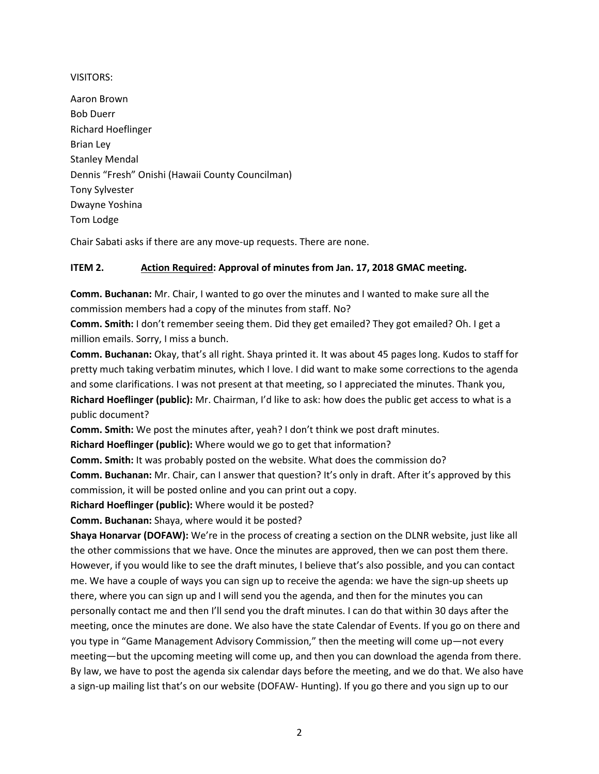### VISITORS:

Aaron Brown Bob Duerr Richard Hoeflinger Brian Ley Stanley Mendal Dennis "Fresh" Onishi (Hawaii County Councilman) Tony Sylvester Dwayne Yoshina Tom Lodge

Chair Sabati asks if there are any move-up requests. There are none.

# **ITEM 2. Action Required: Approval of minutes from Jan. 17, 2018 GMAC meeting.**

**Comm. Buchanan:** Mr. Chair, I wanted to go over the minutes and I wanted to make sure all the commission members had a copy of the minutes from staff. No?

**Comm. Smith:** I don't remember seeing them. Did they get emailed? They got emailed? Oh. I get a million emails. Sorry, I miss a bunch.

**Comm. Buchanan:** Okay, that's all right. Shaya printed it. It was about 45 pages long. Kudos to staff for pretty much taking verbatim minutes, which I love. I did want to make some corrections to the agenda and some clarifications. I was not present at that meeting, so I appreciated the minutes. Thank you, **Richard Hoeflinger (public):** Mr. Chairman, I'd like to ask: how does the public get access to what is a public document?

**Comm. Smith:** We post the minutes after, yeah? I don't think we post draft minutes.

**Richard Hoeflinger (public):** Where would we go to get that information?

**Comm. Smith:** It was probably posted on the website. What does the commission do?

**Comm. Buchanan:** Mr. Chair, can I answer that question? It's only in draft. After it's approved by this commission, it will be posted online and you can print out a copy.

**Richard Hoeflinger (public):** Where would it be posted?

**Comm. Buchanan:** Shaya, where would it be posted?

**Shaya Honarvar (DOFAW):** We're in the process of creating a section on the DLNR website, just like all the other commissions that we have. Once the minutes are approved, then we can post them there. However, if you would like to see the draft minutes, I believe that's also possible, and you can contact me. We have a couple of ways you can sign up to receive the agenda: we have the sign-up sheets up there, where you can sign up and I will send you the agenda, and then for the minutes you can personally contact me and then I'll send you the draft minutes. I can do that within 30 days after the meeting, once the minutes are done. We also have the state Calendar of Events. If you go on there and you type in "Game Management Advisory Commission," then the meeting will come up—not every meeting—but the upcoming meeting will come up, and then you can download the agenda from there. By law, we have to post the agenda six calendar days before the meeting, and we do that. We also have a sign-up mailing list that's on our website (DOFAW- Hunting). If you go there and you sign up to our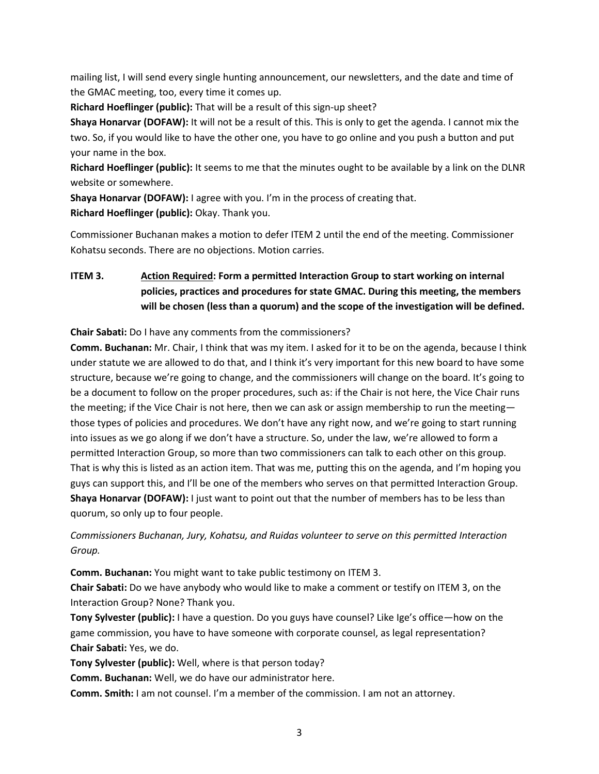mailing list, I will send every single hunting announcement, our newsletters, and the date and time of the GMAC meeting, too, every time it comes up.

**Richard Hoeflinger (public):** That will be a result of this sign-up sheet?

**Shaya Honarvar (DOFAW):** It will not be a result of this. This is only to get the agenda. I cannot mix the two. So, if you would like to have the other one, you have to go online and you push a button and put your name in the box.

**Richard Hoeflinger (public):** It seems to me that the minutes ought to be available by a link on the DLNR website or somewhere.

**Shaya Honarvar (DOFAW):** I agree with you. I'm in the process of creating that. **Richard Hoeflinger (public):** Okay. Thank you.

Commissioner Buchanan makes a motion to defer ITEM 2 until the end of the meeting. Commissioner Kohatsu seconds. There are no objections. Motion carries.

# **ITEM 3. Action Required: Form a permitted Interaction Group to start working on internal policies, practices and procedures for state GMAC. During this meeting, the members will be chosen (less than a quorum) and the scope of the investigation will be defined.**

**Chair Sabati:** Do I have any comments from the commissioners?

**Comm. Buchanan:** Mr. Chair, I think that was my item. I asked for it to be on the agenda, because I think under statute we are allowed to do that, and I think it's very important for this new board to have some structure, because we're going to change, and the commissioners will change on the board. It's going to be a document to follow on the proper procedures, such as: if the Chair is not here, the Vice Chair runs the meeting; if the Vice Chair is not here, then we can ask or assign membership to run the meetingthose types of policies and procedures. We don't have any right now, and we're going to start running into issues as we go along if we don't have a structure. So, under the law, we're allowed to form a permitted Interaction Group, so more than two commissioners can talk to each other on this group. That is why this is listed as an action item. That was me, putting this on the agenda, and I'm hoping you guys can support this, and I'll be one of the members who serves on that permitted Interaction Group. **Shaya Honarvar (DOFAW):** I just want to point out that the number of members has to be less than quorum, so only up to four people.

*Commissioners Buchanan, Jury, Kohatsu, and Ruidas volunteer to serve on this permitted Interaction Group.*

**Comm. Buchanan:** You might want to take public testimony on ITEM 3.

**Chair Sabati:** Do we have anybody who would like to make a comment or testify on ITEM 3, on the Interaction Group? None? Thank you.

**Tony Sylvester (public):** I have a question. Do you guys have counsel? Like Ige's office—how on the game commission, you have to have someone with corporate counsel, as legal representation? **Chair Sabati:** Yes, we do.

**Tony Sylvester (public):** Well, where is that person today?

**Comm. Buchanan:** Well, we do have our administrator here.

**Comm. Smith:** I am not counsel. I'm a member of the commission. I am not an attorney.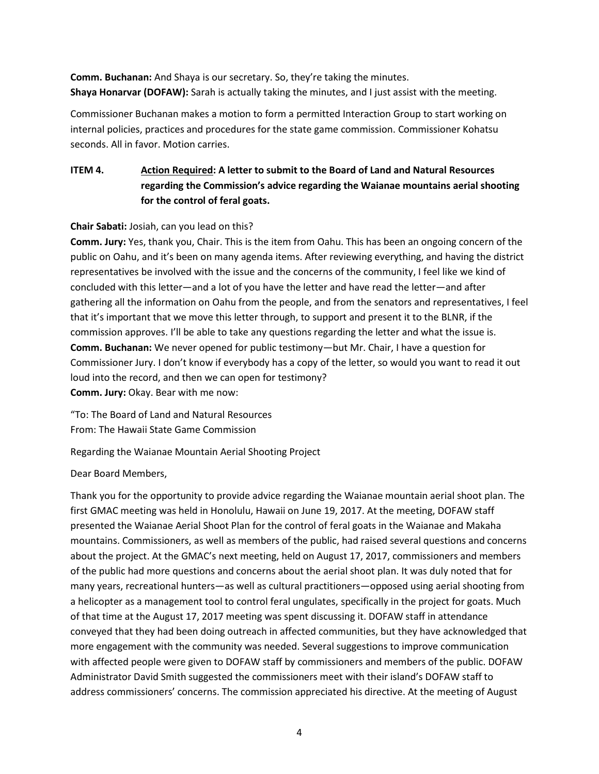**Comm. Buchanan:** And Shaya is our secretary. So, they're taking the minutes. **Shaya Honarvar (DOFAW):** Sarah is actually taking the minutes, and I just assist with the meeting.

Commissioner Buchanan makes a motion to form a permitted Interaction Group to start working on internal policies, practices and procedures for the state game commission. Commissioner Kohatsu seconds. All in favor. Motion carries.

# **ITEM 4. Action Required: A letter to submit to the Board of Land and Natural Resources regarding the Commission's advice regarding the Waianae mountains aerial shooting for the control of feral goats.**

## **Chair Sabati:** Josiah, can you lead on this?

**Comm. Jury:** Yes, thank you, Chair. This is the item from Oahu. This has been an ongoing concern of the public on Oahu, and it's been on many agenda items. After reviewing everything, and having the district representatives be involved with the issue and the concerns of the community, I feel like we kind of concluded with this letter—and a lot of you have the letter and have read the letter—and after gathering all the information on Oahu from the people, and from the senators and representatives, I feel that it's important that we move this letter through, to support and present it to the BLNR, if the commission approves. I'll be able to take any questions regarding the letter and what the issue is. **Comm. Buchanan:** We never opened for public testimony—but Mr. Chair, I have a question for Commissioner Jury. I don't know if everybody has a copy of the letter, so would you want to read it out loud into the record, and then we can open for testimony? **Comm. Jury:** Okay. Bear with me now:

"To: The Board of Land and Natural Resources From: The Hawaii State Game Commission

Regarding the Waianae Mountain Aerial Shooting Project

Dear Board Members,

Thank you for the opportunity to provide advice regarding the Waianae mountain aerial shoot plan. The first GMAC meeting was held in Honolulu, Hawaii on June 19, 2017. At the meeting, DOFAW staff presented the Waianae Aerial Shoot Plan for the control of feral goats in the Waianae and Makaha mountains. Commissioners, as well as members of the public, had raised several questions and concerns about the project. At the GMAC's next meeting, held on August 17, 2017, commissioners and members of the public had more questions and concerns about the aerial shoot plan. It was duly noted that for many years, recreational hunters—as well as cultural practitioners—opposed using aerial shooting from a helicopter as a management tool to control feral ungulates, specifically in the project for goats. Much of that time at the August 17, 2017 meeting was spent discussing it. DOFAW staff in attendance conveyed that they had been doing outreach in affected communities, but they have acknowledged that more engagement with the community was needed. Several suggestions to improve communication with affected people were given to DOFAW staff by commissioners and members of the public. DOFAW Administrator David Smith suggested the commissioners meet with their island's DOFAW staff to address commissioners' concerns. The commission appreciated his directive. At the meeting of August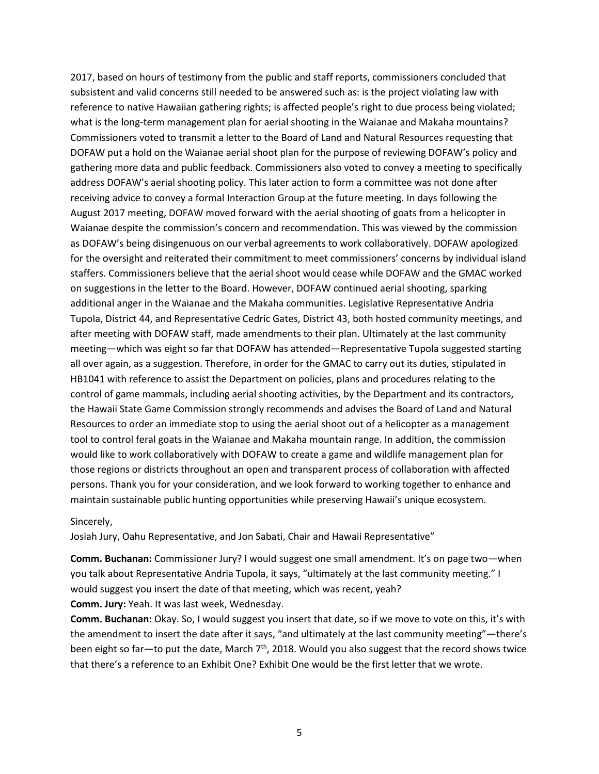2017, based on hours of testimony from the public and staff reports, commissioners concluded that subsistent and valid concerns still needed to be answered such as: is the project violating law with reference to native Hawaiian gathering rights; is affected people's right to due process being violated; what is the long-term management plan for aerial shooting in the Waianae and Makaha mountains? Commissioners voted to transmit a letter to the Board of Land and Natural Resources requesting that DOFAW put a hold on the Waianae aerial shoot plan for the purpose of reviewing DOFAW's policy and gathering more data and public feedback. Commissioners also voted to convey a meeting to specifically address DOFAW's aerial shooting policy. This later action to form a committee was not done after receiving advice to convey a formal Interaction Group at the future meeting. In days following the August 2017 meeting, DOFAW moved forward with the aerial shooting of goats from a helicopter in Waianae despite the commission's concern and recommendation. This was viewed by the commission as DOFAW's being disingenuous on our verbal agreements to work collaboratively. DOFAW apologized for the oversight and reiterated their commitment to meet commissioners' concerns by individual island staffers. Commissioners believe that the aerial shoot would cease while DOFAW and the GMAC worked on suggestions in the letter to the Board. However, DOFAW continued aerial shooting, sparking additional anger in the Waianae and the Makaha communities. Legislative Representative Andria Tupola, District 44, and Representative Cedric Gates, District 43, both hosted community meetings, and after meeting with DOFAW staff, made amendments to their plan. Ultimately at the last community meeting—which was eight so far that DOFAW has attended—Representative Tupola suggested starting all over again, as a suggestion. Therefore, in order for the GMAC to carry out its duties, stipulated in HB1041 with reference to assist the Department on policies, plans and procedures relating to the control of game mammals, including aerial shooting activities, by the Department and its contractors, the Hawaii State Game Commission strongly recommends and advises the Board of Land and Natural Resources to order an immediate stop to using the aerial shoot out of a helicopter as a management tool to control feral goats in the Waianae and Makaha mountain range. In addition, the commission would like to work collaboratively with DOFAW to create a game and wildlife management plan for those regions or districts throughout an open and transparent process of collaboration with affected persons. Thank you for your consideration, and we look forward to working together to enhance and maintain sustainable public hunting opportunities while preserving Hawaii's unique ecosystem.

#### Sincerely,

Josiah Jury, Oahu Representative, and Jon Sabati, Chair and Hawaii Representative"

**Comm. Buchanan:** Commissioner Jury? I would suggest one small amendment. It's on page two—when you talk about Representative Andria Tupola, it says, "ultimately at the last community meeting." I would suggest you insert the date of that meeting, which was recent, yeah?

**Comm. Jury:** Yeah. It was last week, Wednesday.

**Comm. Buchanan:** Okay. So, I would suggest you insert that date, so if we move to vote on this, it's with the amendment to insert the date after it says, "and ultimately at the last community meeting"—there's been eight so far—to put the date, March  $7<sup>th</sup>$ , 2018. Would you also suggest that the record shows twice that there's a reference to an Exhibit One? Exhibit One would be the first letter that we wrote.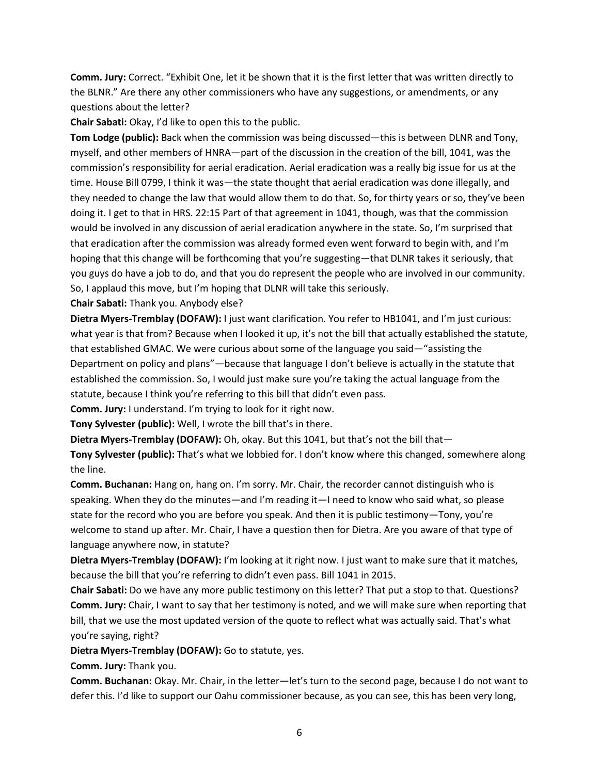**Comm. Jury:** Correct. "Exhibit One, let it be shown that it is the first letter that was written directly to the BLNR." Are there any other commissioners who have any suggestions, or amendments, or any questions about the letter?

**Chair Sabati:** Okay, I'd like to open this to the public.

**Tom Lodge (public):** Back when the commission was being discussed—this is between DLNR and Tony, myself, and other members of HNRA—part of the discussion in the creation of the bill, 1041, was the commission's responsibility for aerial eradication. Aerial eradication was a really big issue for us at the time. House Bill 0799, I think it was—the state thought that aerial eradication was done illegally, and they needed to change the law that would allow them to do that. So, for thirty years or so, they've been doing it. I get to that in HRS. 22:15 Part of that agreement in 1041, though, was that the commission would be involved in any discussion of aerial eradication anywhere in the state. So, I'm surprised that that eradication after the commission was already formed even went forward to begin with, and I'm hoping that this change will be forthcoming that you're suggesting—that DLNR takes it seriously, that you guys do have a job to do, and that you do represent the people who are involved in our community. So, I applaud this move, but I'm hoping that DLNR will take this seriously.

**Chair Sabati:** Thank you. Anybody else?

**Dietra Myers-Tremblay (DOFAW):** I just want clarification. You refer to HB1041, and I'm just curious: what year is that from? Because when I looked it up, it's not the bill that actually established the statute, that established GMAC. We were curious about some of the language you said—"assisting the Department on policy and plans"—because that language I don't believe is actually in the statute that established the commission. So, I would just make sure you're taking the actual language from the statute, because I think you're referring to this bill that didn't even pass.

**Comm. Jury:** I understand. I'm trying to look for it right now.

**Tony Sylvester (public):** Well, I wrote the bill that's in there.

**Dietra Myers-Tremblay (DOFAW):** Oh, okay. But this 1041, but that's not the bill that—

**Tony Sylvester (public):** That's what we lobbied for. I don't know where this changed, somewhere along the line.

**Comm. Buchanan:** Hang on, hang on. I'm sorry. Mr. Chair, the recorder cannot distinguish who is speaking. When they do the minutes—and I'm reading it—I need to know who said what, so please state for the record who you are before you speak. And then it is public testimony—Tony, you're welcome to stand up after. Mr. Chair, I have a question then for Dietra. Are you aware of that type of language anywhere now, in statute?

**Dietra Myers-Tremblay (DOFAW):** I'm looking at it right now. I just want to make sure that it matches, because the bill that you're referring to didn't even pass. Bill 1041 in 2015.

**Chair Sabati:** Do we have any more public testimony on this letter? That put a stop to that. Questions? **Comm. Jury:** Chair, I want to say that her testimony is noted, and we will make sure when reporting that bill, that we use the most updated version of the quote to reflect what was actually said. That's what you're saying, right?

**Dietra Myers-Tremblay (DOFAW):** Go to statute, yes.

**Comm. Jury:** Thank you.

**Comm. Buchanan:** Okay. Mr. Chair, in the letter—let's turn to the second page, because I do not want to defer this. I'd like to support our Oahu commissioner because, as you can see, this has been very long,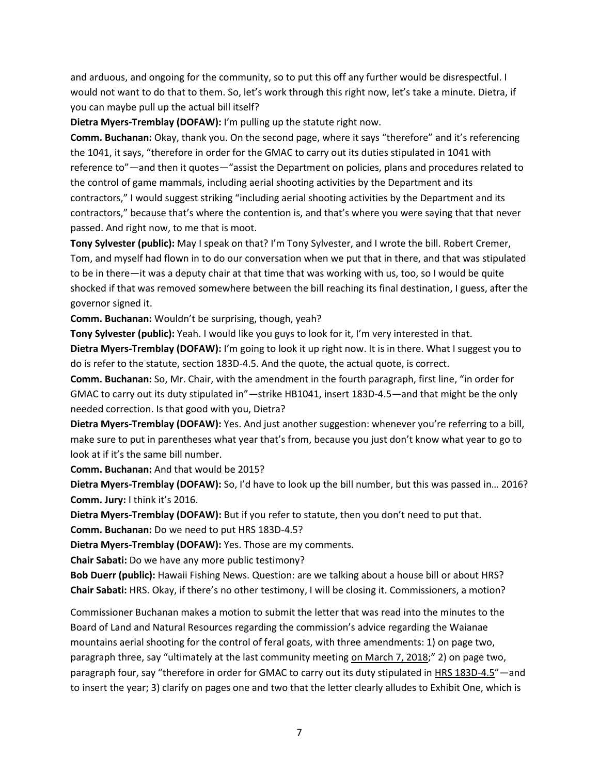and arduous, and ongoing for the community, so to put this off any further would be disrespectful. I would not want to do that to them. So, let's work through this right now, let's take a minute. Dietra, if you can maybe pull up the actual bill itself?

**Dietra Myers-Tremblay (DOFAW):** I'm pulling up the statute right now.

**Comm. Buchanan:** Okay, thank you. On the second page, where it says "therefore" and it's referencing the 1041, it says, "therefore in order for the GMAC to carry out its duties stipulated in 1041 with reference to"—and then it quotes—"assist the Department on policies, plans and procedures related to the control of game mammals, including aerial shooting activities by the Department and its contractors," I would suggest striking "including aerial shooting activities by the Department and its contractors," because that's where the contention is, and that's where you were saying that that never passed. And right now, to me that is moot.

**Tony Sylvester (public):** May I speak on that? I'm Tony Sylvester, and I wrote the bill. Robert Cremer, Tom, and myself had flown in to do our conversation when we put that in there, and that was stipulated to be in there—it was a deputy chair at that time that was working with us, too, so I would be quite shocked if that was removed somewhere between the bill reaching its final destination, I guess, after the governor signed it.

**Comm. Buchanan:** Wouldn't be surprising, though, yeah?

**Tony Sylvester (public):** Yeah. I would like you guys to look for it, I'm very interested in that.

**Dietra Myers-Tremblay (DOFAW):** I'm going to look it up right now. It is in there. What I suggest you to do is refer to the statute, section 183D-4.5. And the quote, the actual quote, is correct.

**Comm. Buchanan:** So, Mr. Chair, with the amendment in the fourth paragraph, first line, "in order for GMAC to carry out its duty stipulated in"—strike HB1041, insert 183D-4.5—and that might be the only needed correction. Is that good with you, Dietra?

**Dietra Myers-Tremblay (DOFAW):** Yes. And just another suggestion: whenever you're referring to a bill, make sure to put in parentheses what year that's from, because you just don't know what year to go to look at if it's the same bill number.

**Comm. Buchanan:** And that would be 2015?

**Dietra Myers-Tremblay (DOFAW):** So, I'd have to look up the bill number, but this was passed in… 2016? **Comm. Jury:** I think it's 2016.

**Dietra Myers-Tremblay (DOFAW):** But if you refer to statute, then you don't need to put that.

**Comm. Buchanan:** Do we need to put HRS 183D-4.5?

**Dietra Myers-Tremblay (DOFAW):** Yes. Those are my comments.

**Chair Sabati:** Do we have any more public testimony?

**Bob Duerr (public):** Hawaii Fishing News. Question: are we talking about a house bill or about HRS? **Chair Sabati:** HRS. Okay, if there's no other testimony, I will be closing it. Commissioners, a motion?

Commissioner Buchanan makes a motion to submit the letter that was read into the minutes to the Board of Land and Natural Resources regarding the commission's advice regarding the Waianae mountains aerial shooting for the control of feral goats, with three amendments: 1) on page two, paragraph three, say "ultimately at the last community meeting on March 7, 2018;" 2) on page two, paragraph four, say "therefore in order for GMAC to carry out its duty stipulated in HRS 183D-4.5"—and to insert the year; 3) clarify on pages one and two that the letter clearly alludes to Exhibit One, which is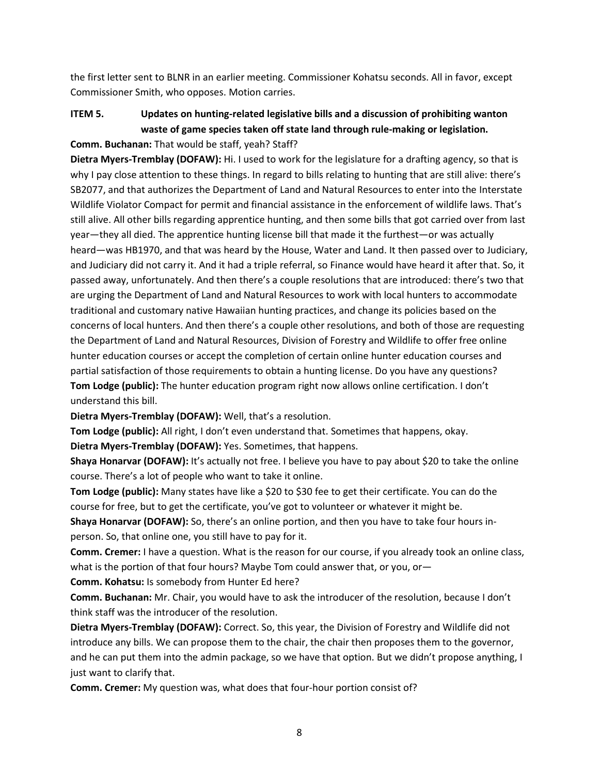the first letter sent to BLNR in an earlier meeting. Commissioner Kohatsu seconds. All in favor, except Commissioner Smith, who opposes. Motion carries.

# **ITEM 5. Updates on hunting-related legislative bills and a discussion of prohibiting wanton waste of game species taken off state land through rule-making or legislation.**

## **Comm. Buchanan:** That would be staff, yeah? Staff?

**Dietra Myers-Tremblay (DOFAW):** Hi. I used to work for the legislature for a drafting agency, so that is why I pay close attention to these things. In regard to bills relating to hunting that are still alive: there's SB2077, and that authorizes the Department of Land and Natural Resources to enter into the Interstate Wildlife Violator Compact for permit and financial assistance in the enforcement of wildlife laws. That's still alive. All other bills regarding apprentice hunting, and then some bills that got carried over from last year—they all died. The apprentice hunting license bill that made it the furthest—or was actually heard—was HB1970, and that was heard by the House, Water and Land. It then passed over to Judiciary, and Judiciary did not carry it. And it had a triple referral, so Finance would have heard it after that. So, it passed away, unfortunately. And then there's a couple resolutions that are introduced: there's two that are urging the Department of Land and Natural Resources to work with local hunters to accommodate traditional and customary native Hawaiian hunting practices, and change its policies based on the concerns of local hunters. And then there's a couple other resolutions, and both of those are requesting the Department of Land and Natural Resources, Division of Forestry and Wildlife to offer free online hunter education courses or accept the completion of certain online hunter education courses and partial satisfaction of those requirements to obtain a hunting license. Do you have any questions? **Tom Lodge (public):** The hunter education program right now allows online certification. I don't understand this bill.

**Dietra Myers-Tremblay (DOFAW):** Well, that's a resolution.

**Tom Lodge (public):** All right, I don't even understand that. Sometimes that happens, okay.

**Dietra Myers-Tremblay (DOFAW):** Yes. Sometimes, that happens.

**Shaya Honarvar (DOFAW):** It's actually not free. I believe you have to pay about \$20 to take the online course. There's a lot of people who want to take it online.

**Tom Lodge (public):** Many states have like a \$20 to \$30 fee to get their certificate. You can do the course for free, but to get the certificate, you've got to volunteer or whatever it might be.

**Shaya Honarvar (DOFAW):** So, there's an online portion, and then you have to take four hours inperson. So, that online one, you still have to pay for it.

**Comm. Cremer:** I have a question. What is the reason for our course, if you already took an online class, what is the portion of that four hours? Maybe Tom could answer that, or you, or

**Comm. Kohatsu:** Is somebody from Hunter Ed here?

**Comm. Buchanan:** Mr. Chair, you would have to ask the introducer of the resolution, because I don't think staff was the introducer of the resolution.

**Dietra Myers-Tremblay (DOFAW):** Correct. So, this year, the Division of Forestry and Wildlife did not introduce any bills. We can propose them to the chair, the chair then proposes them to the governor, and he can put them into the admin package, so we have that option. But we didn't propose anything, I just want to clarify that.

**Comm. Cremer:** My question was, what does that four-hour portion consist of?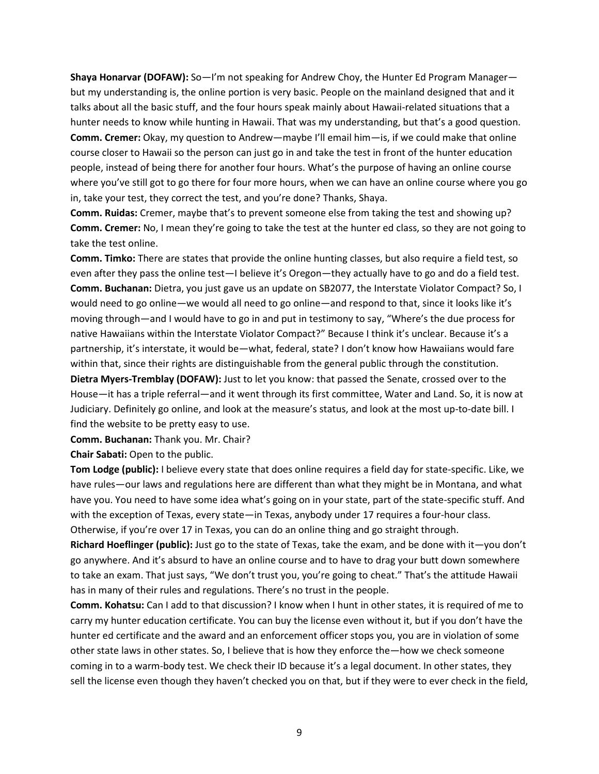**Shaya Honarvar (DOFAW):** So—I'm not speaking for Andrew Choy, the Hunter Ed Program Manager but my understanding is, the online portion is very basic. People on the mainland designed that and it talks about all the basic stuff, and the four hours speak mainly about Hawaii-related situations that a hunter needs to know while hunting in Hawaii. That was my understanding, but that's a good question. **Comm. Cremer:** Okay, my question to Andrew—maybe I'll email him—is, if we could make that online course closer to Hawaii so the person can just go in and take the test in front of the hunter education people, instead of being there for another four hours. What's the purpose of having an online course where you've still got to go there for four more hours, when we can have an online course where you go in, take your test, they correct the test, and you're done? Thanks, Shaya.

**Comm. Ruidas:** Cremer, maybe that's to prevent someone else from taking the test and showing up? **Comm. Cremer:** No, I mean they're going to take the test at the hunter ed class, so they are not going to take the test online.

**Comm. Timko:** There are states that provide the online hunting classes, but also require a field test, so even after they pass the online test—I believe it's Oregon—they actually have to go and do a field test. **Comm. Buchanan:** Dietra, you just gave us an update on SB2077, the Interstate Violator Compact? So, I would need to go online—we would all need to go online—and respond to that, since it looks like it's moving through—and I would have to go in and put in testimony to say, "Where's the due process for native Hawaiians within the Interstate Violator Compact?" Because I think it's unclear. Because it's a partnership, it's interstate, it would be—what, federal, state? I don't know how Hawaiians would fare within that, since their rights are distinguishable from the general public through the constitution.

**Dietra Myers-Tremblay (DOFAW):** Just to let you know: that passed the Senate, crossed over to the House—it has a triple referral—and it went through its first committee, Water and Land. So, it is now at Judiciary. Definitely go online, and look at the measure's status, and look at the most up-to-date bill. I find the website to be pretty easy to use.

**Comm. Buchanan:** Thank you. Mr. Chair?

**Chair Sabati:** Open to the public.

**Tom Lodge (public):** I believe every state that does online requires a field day for state-specific. Like, we have rules—our laws and regulations here are different than what they might be in Montana, and what have you. You need to have some idea what's going on in your state, part of the state-specific stuff. And with the exception of Texas, every state—in Texas, anybody under 17 requires a four-hour class. Otherwise, if you're over 17 in Texas, you can do an online thing and go straight through.

**Richard Hoeflinger (public):** Just go to the state of Texas, take the exam, and be done with it—you don't go anywhere. And it's absurd to have an online course and to have to drag your butt down somewhere to take an exam. That just says, "We don't trust you, you're going to cheat." That's the attitude Hawaii has in many of their rules and regulations. There's no trust in the people.

**Comm. Kohatsu:** Can I add to that discussion? I know when I hunt in other states, it is required of me to carry my hunter education certificate. You can buy the license even without it, but if you don't have the hunter ed certificate and the award and an enforcement officer stops you, you are in violation of some other state laws in other states. So, I believe that is how they enforce the—how we check someone coming in to a warm-body test. We check their ID because it's a legal document. In other states, they sell the license even though they haven't checked you on that, but if they were to ever check in the field,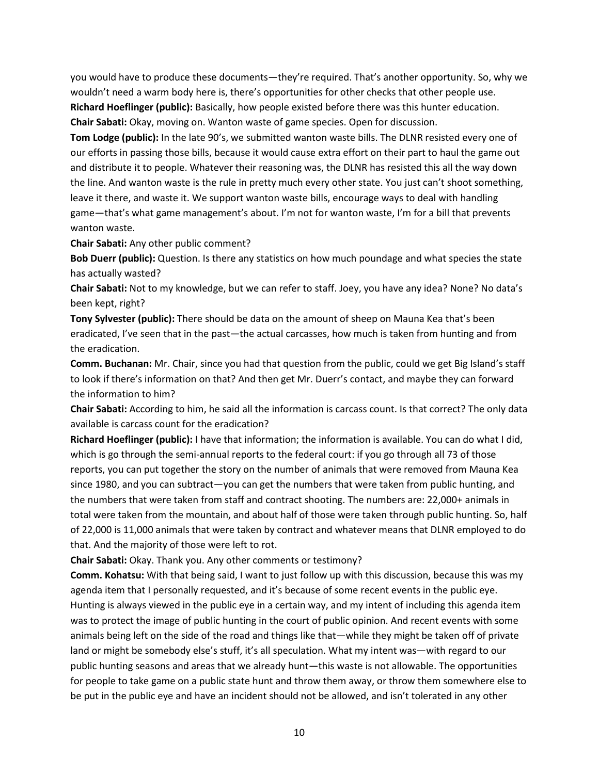you would have to produce these documents—they're required. That's another opportunity. So, why we wouldn't need a warm body here is, there's opportunities for other checks that other people use. **Richard Hoeflinger (public):** Basically, how people existed before there was this hunter education. **Chair Sabati:** Okay, moving on. Wanton waste of game species. Open for discussion.

**Tom Lodge (public):** In the late 90's, we submitted wanton waste bills. The DLNR resisted every one of our efforts in passing those bills, because it would cause extra effort on their part to haul the game out and distribute it to people. Whatever their reasoning was, the DLNR has resisted this all the way down the line. And wanton waste is the rule in pretty much every other state. You just can't shoot something, leave it there, and waste it. We support wanton waste bills, encourage ways to deal with handling game—that's what game management's about. I'm not for wanton waste, I'm for a bill that prevents wanton waste.

**Chair Sabati:** Any other public comment?

**Bob Duerr (public):** Question. Is there any statistics on how much poundage and what species the state has actually wasted?

**Chair Sabati:** Not to my knowledge, but we can refer to staff. Joey, you have any idea? None? No data's been kept, right?

**Tony Sylvester (public):** There should be data on the amount of sheep on Mauna Kea that's been eradicated, I've seen that in the past—the actual carcasses, how much is taken from hunting and from the eradication.

**Comm. Buchanan:** Mr. Chair, since you had that question from the public, could we get Big Island's staff to look if there's information on that? And then get Mr. Duerr's contact, and maybe they can forward the information to him?

**Chair Sabati:** According to him, he said all the information is carcass count. Is that correct? The only data available is carcass count for the eradication?

**Richard Hoeflinger (public):** I have that information; the information is available. You can do what I did, which is go through the semi-annual reports to the federal court: if you go through all 73 of those reports, you can put together the story on the number of animals that were removed from Mauna Kea since 1980, and you can subtract—you can get the numbers that were taken from public hunting, and the numbers that were taken from staff and contract shooting. The numbers are: 22,000+ animals in total were taken from the mountain, and about half of those were taken through public hunting. So, half of 22,000 is 11,000 animals that were taken by contract and whatever means that DLNR employed to do that. And the majority of those were left to rot.

**Chair Sabati:** Okay. Thank you. Any other comments or testimony?

**Comm. Kohatsu:** With that being said, I want to just follow up with this discussion, because this was my agenda item that I personally requested, and it's because of some recent events in the public eye. Hunting is always viewed in the public eye in a certain way, and my intent of including this agenda item was to protect the image of public hunting in the court of public opinion. And recent events with some animals being left on the side of the road and things like that—while they might be taken off of private land or might be somebody else's stuff, it's all speculation. What my intent was—with regard to our public hunting seasons and areas that we already hunt—this waste is not allowable. The opportunities for people to take game on a public state hunt and throw them away, or throw them somewhere else to be put in the public eye and have an incident should not be allowed, and isn't tolerated in any other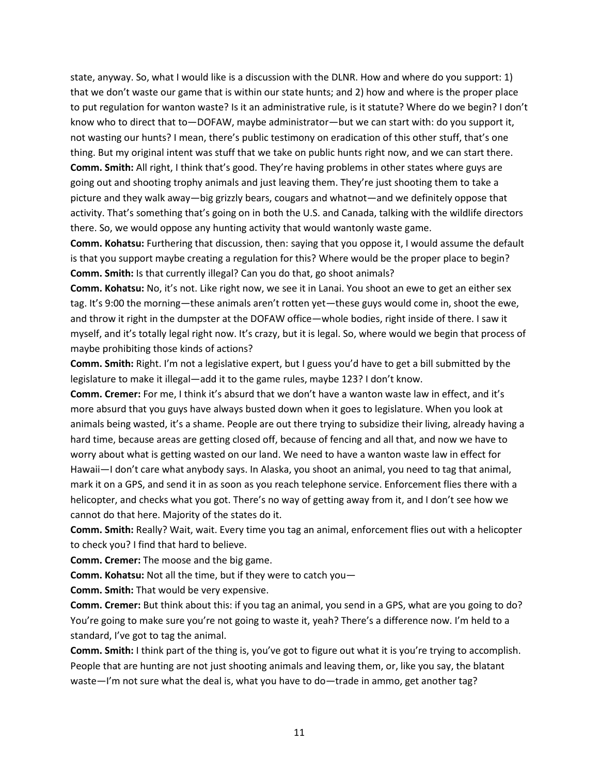state, anyway. So, what I would like is a discussion with the DLNR. How and where do you support: 1) that we don't waste our game that is within our state hunts; and 2) how and where is the proper place to put regulation for wanton waste? Is it an administrative rule, is it statute? Where do we begin? I don't know who to direct that to—DOFAW, maybe administrator—but we can start with: do you support it, not wasting our hunts? I mean, there's public testimony on eradication of this other stuff, that's one thing. But my original intent was stuff that we take on public hunts right now, and we can start there. **Comm. Smith:** All right, I think that's good. They're having problems in other states where guys are going out and shooting trophy animals and just leaving them. They're just shooting them to take a picture and they walk away—big grizzly bears, cougars and whatnot—and we definitely oppose that activity. That's something that's going on in both the U.S. and Canada, talking with the wildlife directors there. So, we would oppose any hunting activity that would wantonly waste game.

**Comm. Kohatsu:** Furthering that discussion, then: saying that you oppose it, I would assume the default is that you support maybe creating a regulation for this? Where would be the proper place to begin? **Comm. Smith:** Is that currently illegal? Can you do that, go shoot animals?

**Comm. Kohatsu:** No, it's not. Like right now, we see it in Lanai. You shoot an ewe to get an either sex tag. It's 9:00 the morning—these animals aren't rotten yet—these guys would come in, shoot the ewe, and throw it right in the dumpster at the DOFAW office—whole bodies, right inside of there. I saw it myself, and it's totally legal right now. It's crazy, but it is legal. So, where would we begin that process of maybe prohibiting those kinds of actions?

**Comm. Smith:** Right. I'm not a legislative expert, but I guess you'd have to get a bill submitted by the legislature to make it illegal—add it to the game rules, maybe 123? I don't know.

**Comm. Cremer:** For me, I think it's absurd that we don't have a wanton waste law in effect, and it's more absurd that you guys have always busted down when it goes to legislature. When you look at animals being wasted, it's a shame. People are out there trying to subsidize their living, already having a hard time, because areas are getting closed off, because of fencing and all that, and now we have to worry about what is getting wasted on our land. We need to have a wanton waste law in effect for Hawaii—I don't care what anybody says. In Alaska, you shoot an animal, you need to tag that animal, mark it on a GPS, and send it in as soon as you reach telephone service. Enforcement flies there with a helicopter, and checks what you got. There's no way of getting away from it, and I don't see how we cannot do that here. Majority of the states do it.

**Comm. Smith:** Really? Wait, wait. Every time you tag an animal, enforcement flies out with a helicopter to check you? I find that hard to believe.

**Comm. Cremer:** The moose and the big game.

**Comm. Kohatsu:** Not all the time, but if they were to catch you—

**Comm. Smith:** That would be very expensive.

**Comm. Cremer:** But think about this: if you tag an animal, you send in a GPS, what are you going to do? You're going to make sure you're not going to waste it, yeah? There's a difference now. I'm held to a standard, I've got to tag the animal.

**Comm. Smith:** I think part of the thing is, you've got to figure out what it is you're trying to accomplish. People that are hunting are not just shooting animals and leaving them, or, like you say, the blatant waste—I'm not sure what the deal is, what you have to do—trade in ammo, get another tag?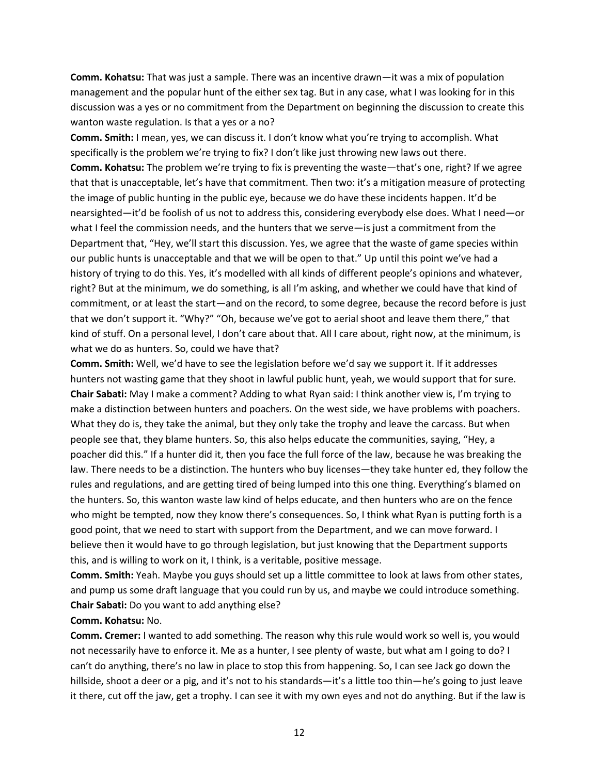**Comm. Kohatsu:** That was just a sample. There was an incentive drawn—it was a mix of population management and the popular hunt of the either sex tag. But in any case, what I was looking for in this discussion was a yes or no commitment from the Department on beginning the discussion to create this wanton waste regulation. Is that a yes or a no?

**Comm. Smith:** I mean, yes, we can discuss it. I don't know what you're trying to accomplish. What specifically is the problem we're trying to fix? I don't like just throwing new laws out there. **Comm. Kohatsu:** The problem we're trying to fix is preventing the waste—that's one, right? If we agree that that is unacceptable, let's have that commitment. Then two: it's a mitigation measure of protecting the image of public hunting in the public eye, because we do have these incidents happen. It'd be nearsighted—it'd be foolish of us not to address this, considering everybody else does. What I need—or what I feel the commission needs, and the hunters that we serve—is just a commitment from the Department that, "Hey, we'll start this discussion. Yes, we agree that the waste of game species within our public hunts is unacceptable and that we will be open to that." Up until this point we've had a history of trying to do this. Yes, it's modelled with all kinds of different people's opinions and whatever, right? But at the minimum, we do something, is all I'm asking, and whether we could have that kind of commitment, or at least the start—and on the record, to some degree, because the record before is just that we don't support it. "Why?" "Oh, because we've got to aerial shoot and leave them there," that kind of stuff. On a personal level, I don't care about that. All I care about, right now, at the minimum, is what we do as hunters. So, could we have that?

**Comm. Smith:** Well, we'd have to see the legislation before we'd say we support it. If it addresses hunters not wasting game that they shoot in lawful public hunt, yeah, we would support that for sure. **Chair Sabati:** May I make a comment? Adding to what Ryan said: I think another view is, I'm trying to make a distinction between hunters and poachers. On the west side, we have problems with poachers. What they do is, they take the animal, but they only take the trophy and leave the carcass. But when people see that, they blame hunters. So, this also helps educate the communities, saying, "Hey, a poacher did this." If a hunter did it, then you face the full force of the law, because he was breaking the law. There needs to be a distinction. The hunters who buy licenses—they take hunter ed, they follow the rules and regulations, and are getting tired of being lumped into this one thing. Everything's blamed on the hunters. So, this wanton waste law kind of helps educate, and then hunters who are on the fence who might be tempted, now they know there's consequences. So, I think what Ryan is putting forth is a good point, that we need to start with support from the Department, and we can move forward. I believe then it would have to go through legislation, but just knowing that the Department supports this, and is willing to work on it, I think, is a veritable, positive message.

**Comm. Smith:** Yeah. Maybe you guys should set up a little committee to look at laws from other states, and pump us some draft language that you could run by us, and maybe we could introduce something. **Chair Sabati:** Do you want to add anything else?

### **Comm. Kohatsu:** No.

**Comm. Cremer:** I wanted to add something. The reason why this rule would work so well is, you would not necessarily have to enforce it. Me as a hunter, I see plenty of waste, but what am I going to do? I can't do anything, there's no law in place to stop this from happening. So, I can see Jack go down the hillside, shoot a deer or a pig, and it's not to his standards—it's a little too thin—he's going to just leave it there, cut off the jaw, get a trophy. I can see it with my own eyes and not do anything. But if the law is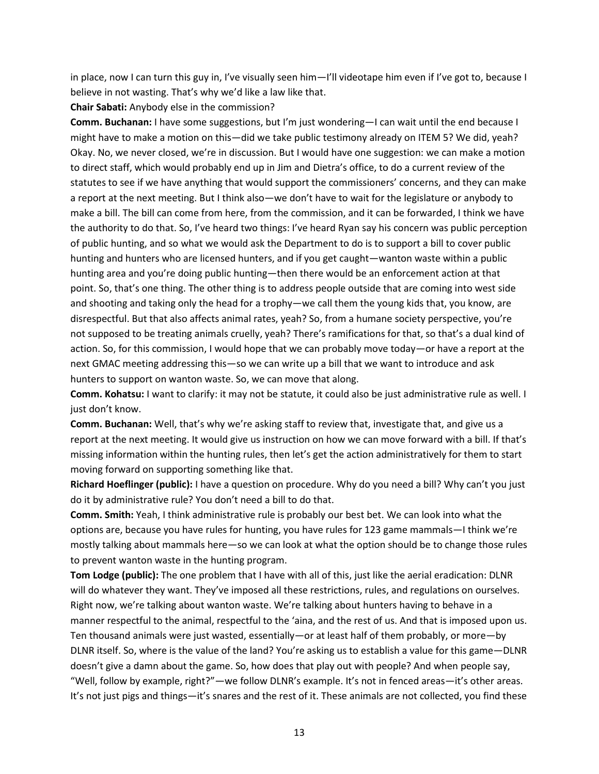in place, now I can turn this guy in, I've visually seen him—I'll videotape him even if I've got to, because I believe in not wasting. That's why we'd like a law like that.

**Chair Sabati:** Anybody else in the commission?

**Comm. Buchanan:** I have some suggestions, but I'm just wondering—I can wait until the end because I might have to make a motion on this—did we take public testimony already on ITEM 5? We did, yeah? Okay. No, we never closed, we're in discussion. But I would have one suggestion: we can make a motion to direct staff, which would probably end up in Jim and Dietra's office, to do a current review of the statutes to see if we have anything that would support the commissioners' concerns, and they can make a report at the next meeting. But I think also—we don't have to wait for the legislature or anybody to make a bill. The bill can come from here, from the commission, and it can be forwarded, I think we have the authority to do that. So, I've heard two things: I've heard Ryan say his concern was public perception of public hunting, and so what we would ask the Department to do is to support a bill to cover public hunting and hunters who are licensed hunters, and if you get caught—wanton waste within a public hunting area and you're doing public hunting—then there would be an enforcement action at that point. So, that's one thing. The other thing is to address people outside that are coming into west side and shooting and taking only the head for a trophy—we call them the young kids that, you know, are disrespectful. But that also affects animal rates, yeah? So, from a humane society perspective, you're not supposed to be treating animals cruelly, yeah? There's ramifications for that, so that's a dual kind of action. So, for this commission, I would hope that we can probably move today—or have a report at the next GMAC meeting addressing this—so we can write up a bill that we want to introduce and ask hunters to support on wanton waste. So, we can move that along.

**Comm. Kohatsu:** I want to clarify: it may not be statute, it could also be just administrative rule as well. I just don't know.

**Comm. Buchanan:** Well, that's why we're asking staff to review that, investigate that, and give us a report at the next meeting. It would give us instruction on how we can move forward with a bill. If that's missing information within the hunting rules, then let's get the action administratively for them to start moving forward on supporting something like that.

**Richard Hoeflinger (public):** I have a question on procedure. Why do you need a bill? Why can't you just do it by administrative rule? You don't need a bill to do that.

**Comm. Smith:** Yeah, I think administrative rule is probably our best bet. We can look into what the options are, because you have rules for hunting, you have rules for 123 game mammals—I think we're mostly talking about mammals here—so we can look at what the option should be to change those rules to prevent wanton waste in the hunting program.

**Tom Lodge (public):** The one problem that I have with all of this, just like the aerial eradication: DLNR will do whatever they want. They've imposed all these restrictions, rules, and regulations on ourselves. Right now, we're talking about wanton waste. We're talking about hunters having to behave in a manner respectful to the animal, respectful to the 'aina, and the rest of us. And that is imposed upon us. Ten thousand animals were just wasted, essentially—or at least half of them probably, or more—by DLNR itself. So, where is the value of the land? You're asking us to establish a value for this game—DLNR doesn't give a damn about the game. So, how does that play out with people? And when people say, "Well, follow by example, right?"—we follow DLNR's example. It's not in fenced areas—it's other areas. It's not just pigs and things—it's snares and the rest of it. These animals are not collected, you find these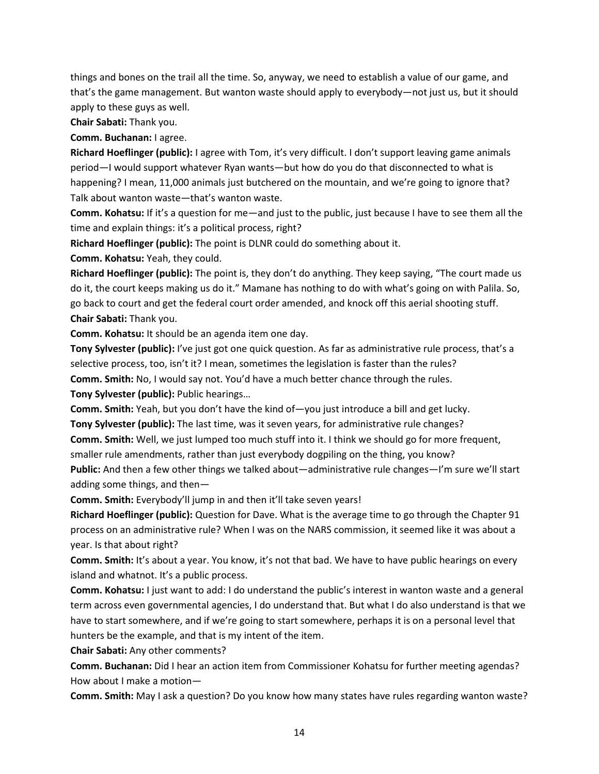things and bones on the trail all the time. So, anyway, we need to establish a value of our game, and that's the game management. But wanton waste should apply to everybody—not just us, but it should apply to these guys as well.

**Chair Sabati:** Thank you.

**Comm. Buchanan:** I agree.

**Richard Hoeflinger (public):** I agree with Tom, it's very difficult. I don't support leaving game animals period—I would support whatever Ryan wants—but how do you do that disconnected to what is happening? I mean, 11,000 animals just butchered on the mountain, and we're going to ignore that? Talk about wanton waste—that's wanton waste.

**Comm. Kohatsu:** If it's a question for me—and just to the public, just because I have to see them all the time and explain things: it's a political process, right?

**Richard Hoeflinger (public):** The point is DLNR could do something about it.

**Comm. Kohatsu:** Yeah, they could.

**Richard Hoeflinger (public):** The point is, they don't do anything. They keep saying, "The court made us do it, the court keeps making us do it." Mamane has nothing to do with what's going on with Palila. So, go back to court and get the federal court order amended, and knock off this aerial shooting stuff. **Chair Sabati:** Thank you.

**Comm. Kohatsu:** It should be an agenda item one day.

**Tony Sylvester (public):** I've just got one quick question. As far as administrative rule process, that's a selective process, too, isn't it? I mean, sometimes the legislation is faster than the rules? **Comm. Smith:** No, I would say not. You'd have a much better chance through the rules. **Tony Sylvester (public):** Public hearings…

**Comm. Smith:** Yeah, but you don't have the kind of—you just introduce a bill and get lucky.

**Tony Sylvester (public):** The last time, was it seven years, for administrative rule changes? **Comm. Smith:** Well, we just lumped too much stuff into it. I think we should go for more frequent,

smaller rule amendments, rather than just everybody dogpiling on the thing, you know?

**Public:** And then a few other things we talked about—administrative rule changes—I'm sure we'll start adding some things, and then—

**Comm. Smith:** Everybody'll jump in and then it'll take seven years!

**Richard Hoeflinger (public):** Question for Dave. What is the average time to go through the Chapter 91 process on an administrative rule? When I was on the NARS commission, it seemed like it was about a year. Is that about right?

**Comm. Smith:** It's about a year. You know, it's not that bad. We have to have public hearings on every island and whatnot. It's a public process.

**Comm. Kohatsu:** I just want to add: I do understand the public's interest in wanton waste and a general term across even governmental agencies, I do understand that. But what I do also understand is that we have to start somewhere, and if we're going to start somewhere, perhaps it is on a personal level that hunters be the example, and that is my intent of the item.

**Chair Sabati:** Any other comments?

**Comm. Buchanan:** Did I hear an action item from Commissioner Kohatsu for further meeting agendas? How about I make a motion—

**Comm. Smith:** May I ask a question? Do you know how many states have rules regarding wanton waste?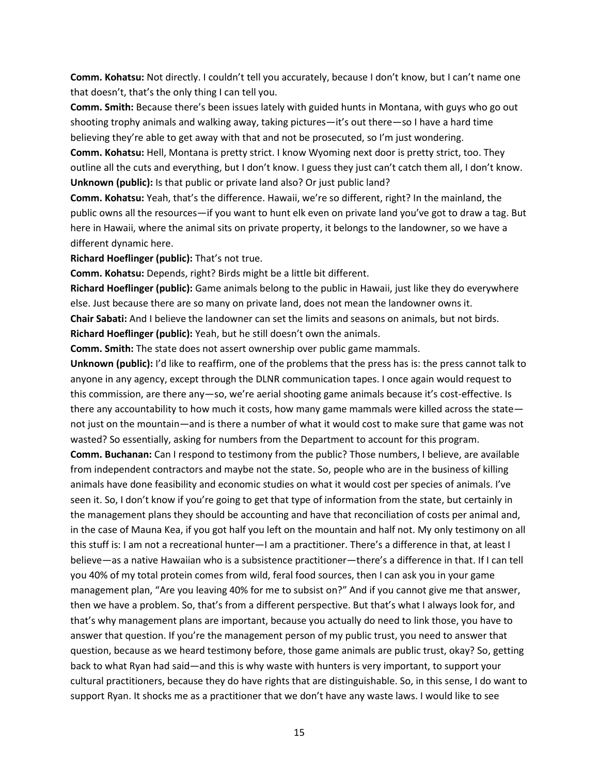**Comm. Kohatsu:** Not directly. I couldn't tell you accurately, because I don't know, but I can't name one that doesn't, that's the only thing I can tell you.

**Comm. Smith:** Because there's been issues lately with guided hunts in Montana, with guys who go out shooting trophy animals and walking away, taking pictures—it's out there—so I have a hard time believing they're able to get away with that and not be prosecuted, so I'm just wondering.

**Comm. Kohatsu:** Hell, Montana is pretty strict. I know Wyoming next door is pretty strict, too. They outline all the cuts and everything, but I don't know. I guess they just can't catch them all, I don't know. **Unknown (public):** Is that public or private land also? Or just public land?

**Comm. Kohatsu:** Yeah, that's the difference. Hawaii, we're so different, right? In the mainland, the public owns all the resources—if you want to hunt elk even on private land you've got to draw a tag. But here in Hawaii, where the animal sits on private property, it belongs to the landowner, so we have a different dynamic here.

**Richard Hoeflinger (public):** That's not true.

**Comm. Kohatsu:** Depends, right? Birds might be a little bit different.

**Richard Hoeflinger (public):** Game animals belong to the public in Hawaii, just like they do everywhere else. Just because there are so many on private land, does not mean the landowner owns it. **Chair Sabati:** And I believe the landowner can set the limits and seasons on animals, but not birds. **Richard Hoeflinger (public):** Yeah, but he still doesn't own the animals.

**Comm. Smith:** The state does not assert ownership over public game mammals.

**Unknown (public):** I'd like to reaffirm, one of the problems that the press has is: the press cannot talk to anyone in any agency, except through the DLNR communication tapes. I once again would request to this commission, are there any—so, we're aerial shooting game animals because it's cost-effective. Is there any accountability to how much it costs, how many game mammals were killed across the state not just on the mountain—and is there a number of what it would cost to make sure that game was not wasted? So essentially, asking for numbers from the Department to account for this program.

**Comm. Buchanan:** Can I respond to testimony from the public? Those numbers, I believe, are available from independent contractors and maybe not the state. So, people who are in the business of killing animals have done feasibility and economic studies on what it would cost per species of animals. I've seen it. So, I don't know if you're going to get that type of information from the state, but certainly in the management plans they should be accounting and have that reconciliation of costs per animal and, in the case of Mauna Kea, if you got half you left on the mountain and half not. My only testimony on all this stuff is: I am not a recreational hunter—I am a practitioner. There's a difference in that, at least I believe—as a native Hawaiian who is a subsistence practitioner—there's a difference in that. If I can tell you 40% of my total protein comes from wild, feral food sources, then I can ask you in your game management plan, "Are you leaving 40% for me to subsist on?" And if you cannot give me that answer, then we have a problem. So, that's from a different perspective. But that's what I always look for, and that's why management plans are important, because you actually do need to link those, you have to answer that question. If you're the management person of my public trust, you need to answer that question, because as we heard testimony before, those game animals are public trust, okay? So, getting back to what Ryan had said—and this is why waste with hunters is very important, to support your cultural practitioners, because they do have rights that are distinguishable. So, in this sense, I do want to support Ryan. It shocks me as a practitioner that we don't have any waste laws. I would like to see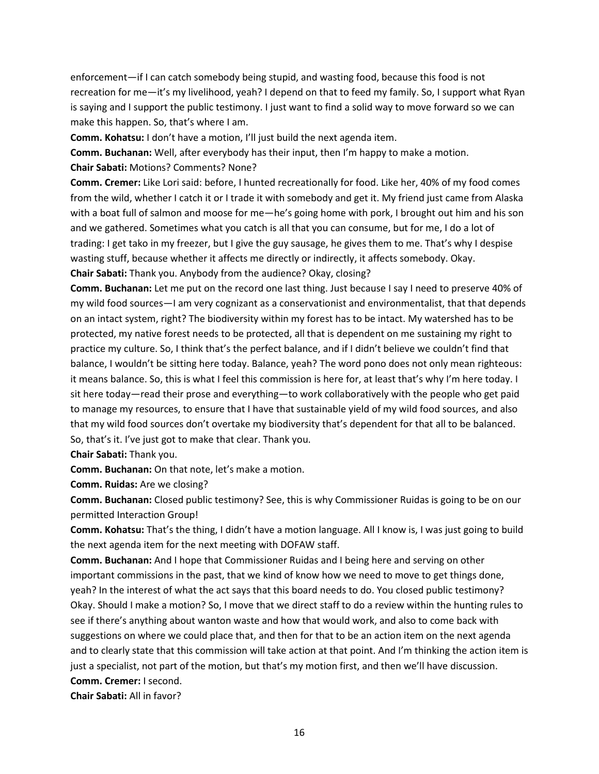enforcement—if I can catch somebody being stupid, and wasting food, because this food is not recreation for me—it's my livelihood, yeah? I depend on that to feed my family. So, I support what Ryan is saying and I support the public testimony. I just want to find a solid way to move forward so we can make this happen. So, that's where I am.

**Comm. Kohatsu:** I don't have a motion, I'll just build the next agenda item.

**Comm. Buchanan:** Well, after everybody has their input, then I'm happy to make a motion. **Chair Sabati:** Motions? Comments? None?

**Comm. Cremer:** Like Lori said: before, I hunted recreationally for food. Like her, 40% of my food comes from the wild, whether I catch it or I trade it with somebody and get it. My friend just came from Alaska with a boat full of salmon and moose for me—he's going home with pork, I brought out him and his son and we gathered. Sometimes what you catch is all that you can consume, but for me, I do a lot of trading: I get tako in my freezer, but I give the guy sausage, he gives them to me. That's why I despise wasting stuff, because whether it affects me directly or indirectly, it affects somebody. Okay.

**Chair Sabati:** Thank you. Anybody from the audience? Okay, closing?

**Comm. Buchanan:** Let me put on the record one last thing. Just because I say I need to preserve 40% of my wild food sources—I am very cognizant as a conservationist and environmentalist, that that depends on an intact system, right? The biodiversity within my forest has to be intact. My watershed has to be protected, my native forest needs to be protected, all that is dependent on me sustaining my right to practice my culture. So, I think that's the perfect balance, and if I didn't believe we couldn't find that balance, I wouldn't be sitting here today. Balance, yeah? The word pono does not only mean righteous: it means balance. So, this is what I feel this commission is here for, at least that's why I'm here today. I sit here today—read their prose and everything—to work collaboratively with the people who get paid to manage my resources, to ensure that I have that sustainable yield of my wild food sources, and also that my wild food sources don't overtake my biodiversity that's dependent for that all to be balanced. So, that's it. I've just got to make that clear. Thank you.

**Chair Sabati:** Thank you.

**Comm. Buchanan:** On that note, let's make a motion.

**Comm. Ruidas:** Are we closing?

**Comm. Buchanan:** Closed public testimony? See, this is why Commissioner Ruidas is going to be on our permitted Interaction Group!

**Comm. Kohatsu:** That's the thing, I didn't have a motion language. All I know is, I was just going to build the next agenda item for the next meeting with DOFAW staff.

**Comm. Buchanan:** And I hope that Commissioner Ruidas and I being here and serving on other important commissions in the past, that we kind of know how we need to move to get things done, yeah? In the interest of what the act says that this board needs to do. You closed public testimony? Okay. Should I make a motion? So, I move that we direct staff to do a review within the hunting rules to see if there's anything about wanton waste and how that would work, and also to come back with suggestions on where we could place that, and then for that to be an action item on the next agenda and to clearly state that this commission will take action at that point. And I'm thinking the action item is just a specialist, not part of the motion, but that's my motion first, and then we'll have discussion. **Comm. Cremer:** I second.

**Chair Sabati:** All in favor?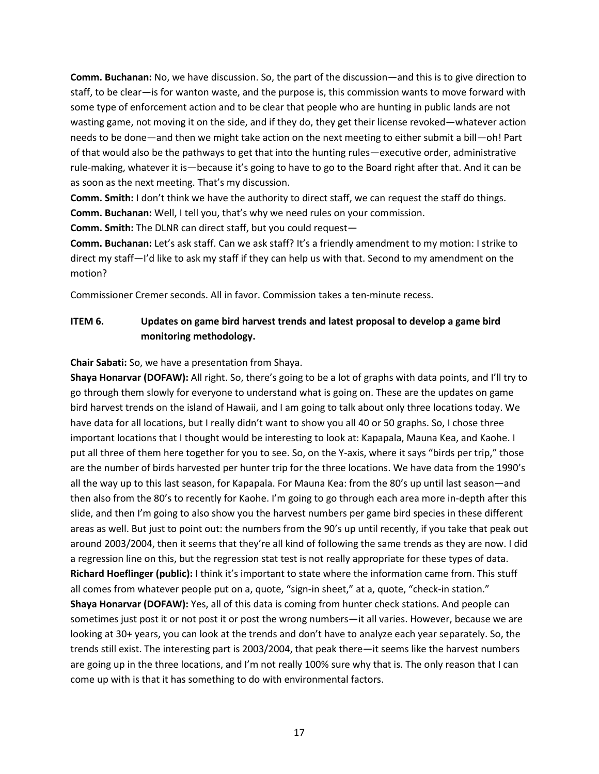**Comm. Buchanan:** No, we have discussion. So, the part of the discussion—and this is to give direction to staff, to be clear—is for wanton waste, and the purpose is, this commission wants to move forward with some type of enforcement action and to be clear that people who are hunting in public lands are not wasting game, not moving it on the side, and if they do, they get their license revoked—whatever action needs to be done—and then we might take action on the next meeting to either submit a bill—oh! Part of that would also be the pathways to get that into the hunting rules—executive order, administrative rule-making, whatever it is—because it's going to have to go to the Board right after that. And it can be as soon as the next meeting. That's my discussion.

**Comm. Smith:** I don't think we have the authority to direct staff, we can request the staff do things. **Comm. Buchanan:** Well, I tell you, that's why we need rules on your commission.

**Comm. Smith:** The DLNR can direct staff, but you could request—

**Comm. Buchanan:** Let's ask staff. Can we ask staff? It's a friendly amendment to my motion: I strike to direct my staff—I'd like to ask my staff if they can help us with that. Second to my amendment on the motion?

Commissioner Cremer seconds. All in favor. Commission takes a ten-minute recess.

# **ITEM 6. Updates on game bird harvest trends and latest proposal to develop a game bird monitoring methodology.**

**Chair Sabati:** So, we have a presentation from Shaya.

**Shaya Honarvar (DOFAW):** All right. So, there's going to be a lot of graphs with data points, and I'll try to go through them slowly for everyone to understand what is going on. These are the updates on game bird harvest trends on the island of Hawaii, and I am going to talk about only three locations today. We have data for all locations, but I really didn't want to show you all 40 or 50 graphs. So, I chose three important locations that I thought would be interesting to look at: Kapapala, Mauna Kea, and Kaohe. I put all three of them here together for you to see. So, on the Y-axis, where it says "birds per trip," those are the number of birds harvested per hunter trip for the three locations. We have data from the 1990's all the way up to this last season, for Kapapala. For Mauna Kea: from the 80's up until last season—and then also from the 80's to recently for Kaohe. I'm going to go through each area more in-depth after this slide, and then I'm going to also show you the harvest numbers per game bird species in these different areas as well. But just to point out: the numbers from the 90's up until recently, if you take that peak out around 2003/2004, then it seems that they're all kind of following the same trends as they are now. I did a regression line on this, but the regression stat test is not really appropriate for these types of data. **Richard Hoeflinger (public):** I think it's important to state where the information came from. This stuff all comes from whatever people put on a, quote, "sign-in sheet," at a, quote, "check-in station." **Shaya Honarvar (DOFAW):** Yes, all of this data is coming from hunter check stations. And people can sometimes just post it or not post it or post the wrong numbers—it all varies. However, because we are looking at 30+ years, you can look at the trends and don't have to analyze each year separately. So, the trends still exist. The interesting part is 2003/2004, that peak there—it seems like the harvest numbers are going up in the three locations, and I'm not really 100% sure why that is. The only reason that I can come up with is that it has something to do with environmental factors.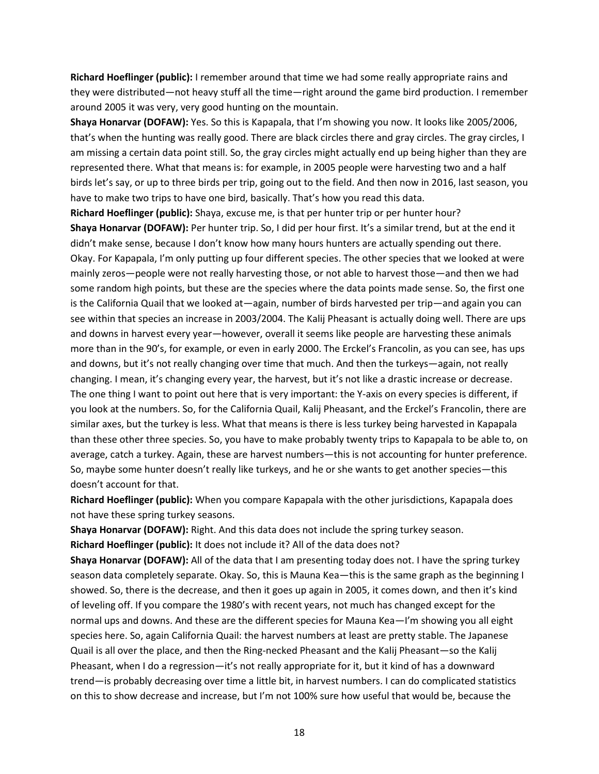**Richard Hoeflinger (public):** I remember around that time we had some really appropriate rains and they were distributed—not heavy stuff all the time—right around the game bird production. I remember around 2005 it was very, very good hunting on the mountain.

**Shaya Honarvar (DOFAW):** Yes. So this is Kapapala, that I'm showing you now. It looks like 2005/2006, that's when the hunting was really good. There are black circles there and gray circles. The gray circles, I am missing a certain data point still. So, the gray circles might actually end up being higher than they are represented there. What that means is: for example, in 2005 people were harvesting two and a half birds let's say, or up to three birds per trip, going out to the field. And then now in 2016, last season, you have to make two trips to have one bird, basically. That's how you read this data.

**Richard Hoeflinger (public):** Shaya, excuse me, is that per hunter trip or per hunter hour? **Shaya Honarvar (DOFAW):** Per hunter trip. So, I did per hour first. It's a similar trend, but at the end it didn't make sense, because I don't know how many hours hunters are actually spending out there. Okay. For Kapapala, I'm only putting up four different species. The other species that we looked at were mainly zeros—people were not really harvesting those, or not able to harvest those—and then we had some random high points, but these are the species where the data points made sense. So, the first one is the California Quail that we looked at—again, number of birds harvested per trip—and again you can see within that species an increase in 2003/2004. The Kalij Pheasant is actually doing well. There are ups and downs in harvest every year—however, overall it seems like people are harvesting these animals more than in the 90's, for example, or even in early 2000. The Erckel's Francolin, as you can see, has ups and downs, but it's not really changing over time that much. And then the turkeys—again, not really changing. I mean, it's changing every year, the harvest, but it's not like a drastic increase or decrease. The one thing I want to point out here that is very important: the Y-axis on every species is different, if you look at the numbers. So, for the California Quail, Kalij Pheasant, and the Erckel's Francolin, there are similar axes, but the turkey is less. What that means is there is less turkey being harvested in Kapapala than these other three species. So, you have to make probably twenty trips to Kapapala to be able to, on average, catch a turkey. Again, these are harvest numbers—this is not accounting for hunter preference. So, maybe some hunter doesn't really like turkeys, and he or she wants to get another species—this doesn't account for that.

**Richard Hoeflinger (public):** When you compare Kapapala with the other jurisdictions, Kapapala does not have these spring turkey seasons.

**Shaya Honarvar (DOFAW):** Right. And this data does not include the spring turkey season. **Richard Hoeflinger (public):** It does not include it? All of the data does not?

**Shaya Honarvar (DOFAW):** All of the data that I am presenting today does not. I have the spring turkey season data completely separate. Okay. So, this is Mauna Kea—this is the same graph as the beginning I showed. So, there is the decrease, and then it goes up again in 2005, it comes down, and then it's kind of leveling off. If you compare the 1980's with recent years, not much has changed except for the normal ups and downs. And these are the different species for Mauna Kea—I'm showing you all eight species here. So, again California Quail: the harvest numbers at least are pretty stable. The Japanese Quail is all over the place, and then the Ring-necked Pheasant and the Kalij Pheasant—so the Kalij Pheasant, when I do a regression—it's not really appropriate for it, but it kind of has a downward trend—is probably decreasing over time a little bit, in harvest numbers. I can do complicated statistics on this to show decrease and increase, but I'm not 100% sure how useful that would be, because the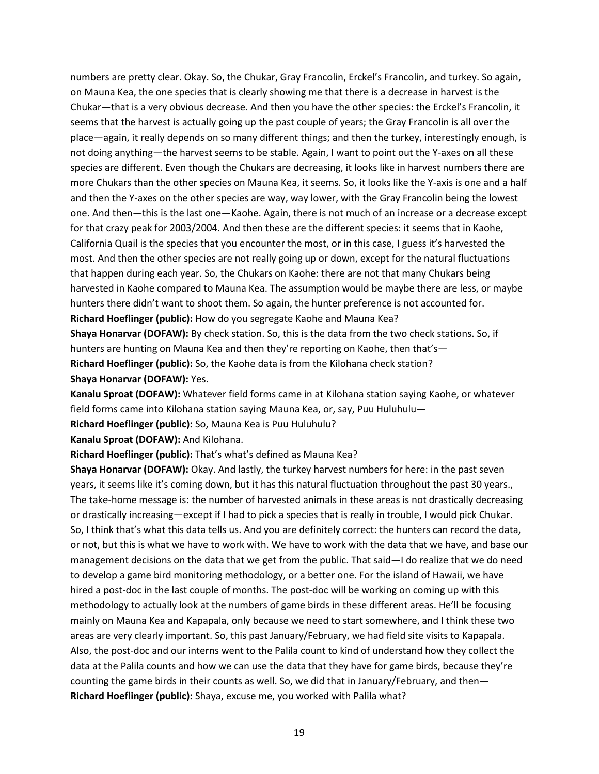numbers are pretty clear. Okay. So, the Chukar, Gray Francolin, Erckel's Francolin, and turkey. So again, on Mauna Kea, the one species that is clearly showing me that there is a decrease in harvest is the Chukar—that is a very obvious decrease. And then you have the other species: the Erckel's Francolin, it seems that the harvest is actually going up the past couple of years; the Gray Francolin is all over the place—again, it really depends on so many different things; and then the turkey, interestingly enough, is not doing anything—the harvest seems to be stable. Again, I want to point out the Y-axes on all these species are different. Even though the Chukars are decreasing, it looks like in harvest numbers there are more Chukars than the other species on Mauna Kea, it seems. So, it looks like the Y-axis is one and a half and then the Y-axes on the other species are way, way lower, with the Gray Francolin being the lowest one. And then—this is the last one—Kaohe. Again, there is not much of an increase or a decrease except for that crazy peak for 2003/2004. And then these are the different species: it seems that in Kaohe, California Quail is the species that you encounter the most, or in this case, I guess it's harvested the most. And then the other species are not really going up or down, except for the natural fluctuations that happen during each year. So, the Chukars on Kaohe: there are not that many Chukars being harvested in Kaohe compared to Mauna Kea. The assumption would be maybe there are less, or maybe hunters there didn't want to shoot them. So again, the hunter preference is not accounted for. **Richard Hoeflinger (public):** How do you segregate Kaohe and Mauna Kea?

**Shaya Honarvar (DOFAW):** By check station. So, this is the data from the two check stations. So, if hunters are hunting on Mauna Kea and then they're reporting on Kaohe, then that's— **Richard Hoeflinger (public):** So, the Kaohe data is from the Kilohana check station? **Shaya Honarvar (DOFAW):** Yes.

**Kanalu Sproat (DOFAW):** Whatever field forms came in at Kilohana station saying Kaohe, or whatever field forms came into Kilohana station saying Mauna Kea, or, say, Puu Huluhulu— **Richard Hoeflinger (public):** So, Mauna Kea is Puu Huluhulu?

**Kanalu Sproat (DOFAW):** And Kilohana.

**Richard Hoeflinger (public):** That's what's defined as Mauna Kea?

**Shaya Honarvar (DOFAW):** Okay. And lastly, the turkey harvest numbers for here: in the past seven years, it seems like it's coming down, but it has this natural fluctuation throughout the past 30 years., The take-home message is: the number of harvested animals in these areas is not drastically decreasing or drastically increasing—except if I had to pick a species that is really in trouble, I would pick Chukar. So, I think that's what this data tells us. And you are definitely correct: the hunters can record the data, or not, but this is what we have to work with. We have to work with the data that we have, and base our management decisions on the data that we get from the public. That said—I do realize that we do need to develop a game bird monitoring methodology, or a better one. For the island of Hawaii, we have hired a post-doc in the last couple of months. The post-doc will be working on coming up with this methodology to actually look at the numbers of game birds in these different areas. He'll be focusing mainly on Mauna Kea and Kapapala, only because we need to start somewhere, and I think these two areas are very clearly important. So, this past January/February, we had field site visits to Kapapala. Also, the post-doc and our interns went to the Palila count to kind of understand how they collect the data at the Palila counts and how we can use the data that they have for game birds, because they're counting the game birds in their counts as well. So, we did that in January/February, and then— **Richard Hoeflinger (public):** Shaya, excuse me, you worked with Palila what?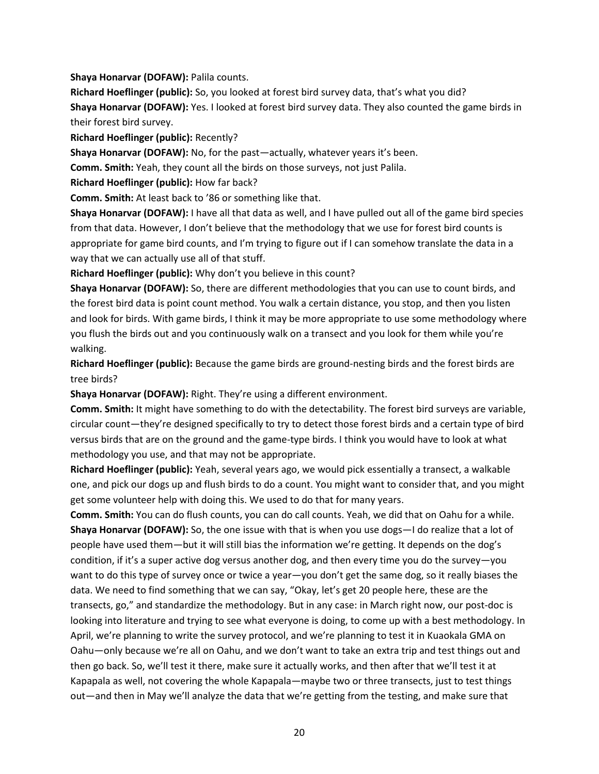**Shaya Honarvar (DOFAW):** Palila counts.

**Richard Hoeflinger (public):** So, you looked at forest bird survey data, that's what you did? **Shaya Honarvar (DOFAW):** Yes. I looked at forest bird survey data. They also counted the game birds in their forest bird survey.

**Richard Hoeflinger (public):** Recently?

**Shaya Honarvar (DOFAW):** No, for the past—actually, whatever years it's been.

**Comm. Smith:** Yeah, they count all the birds on those surveys, not just Palila.

**Richard Hoeflinger (public):** How far back?

**Comm. Smith:** At least back to '86 or something like that.

**Shaya Honarvar (DOFAW):** I have all that data as well, and I have pulled out all of the game bird species from that data. However, I don't believe that the methodology that we use for forest bird counts is appropriate for game bird counts, and I'm trying to figure out if I can somehow translate the data in a way that we can actually use all of that stuff.

**Richard Hoeflinger (public):** Why don't you believe in this count?

**Shaya Honarvar (DOFAW):** So, there are different methodologies that you can use to count birds, and the forest bird data is point count method. You walk a certain distance, you stop, and then you listen and look for birds. With game birds, I think it may be more appropriate to use some methodology where you flush the birds out and you continuously walk on a transect and you look for them while you're walking.

**Richard Hoeflinger (public):** Because the game birds are ground-nesting birds and the forest birds are tree birds?

**Shaya Honarvar (DOFAW):** Right. They're using a different environment.

**Comm. Smith:** It might have something to do with the detectability. The forest bird surveys are variable, circular count—they're designed specifically to try to detect those forest birds and a certain type of bird versus birds that are on the ground and the game-type birds. I think you would have to look at what methodology you use, and that may not be appropriate.

**Richard Hoeflinger (public):** Yeah, several years ago, we would pick essentially a transect, a walkable one, and pick our dogs up and flush birds to do a count. You might want to consider that, and you might get some volunteer help with doing this. We used to do that for many years.

**Comm. Smith:** You can do flush counts, you can do call counts. Yeah, we did that on Oahu for a while. **Shaya Honarvar (DOFAW):** So, the one issue with that is when you use dogs—I do realize that a lot of people have used them—but it will still bias the information we're getting. It depends on the dog's condition, if it's a super active dog versus another dog, and then every time you do the survey—you want to do this type of survey once or twice a year—you don't get the same dog, so it really biases the data. We need to find something that we can say, "Okay, let's get 20 people here, these are the transects, go," and standardize the methodology. But in any case: in March right now, our post-doc is looking into literature and trying to see what everyone is doing, to come up with a best methodology. In April, we're planning to write the survey protocol, and we're planning to test it in Kuaokala GMA on Oahu—only because we're all on Oahu, and we don't want to take an extra trip and test things out and then go back. So, we'll test it there, make sure it actually works, and then after that we'll test it at Kapapala as well, not covering the whole Kapapala—maybe two or three transects, just to test things out—and then in May we'll analyze the data that we're getting from the testing, and make sure that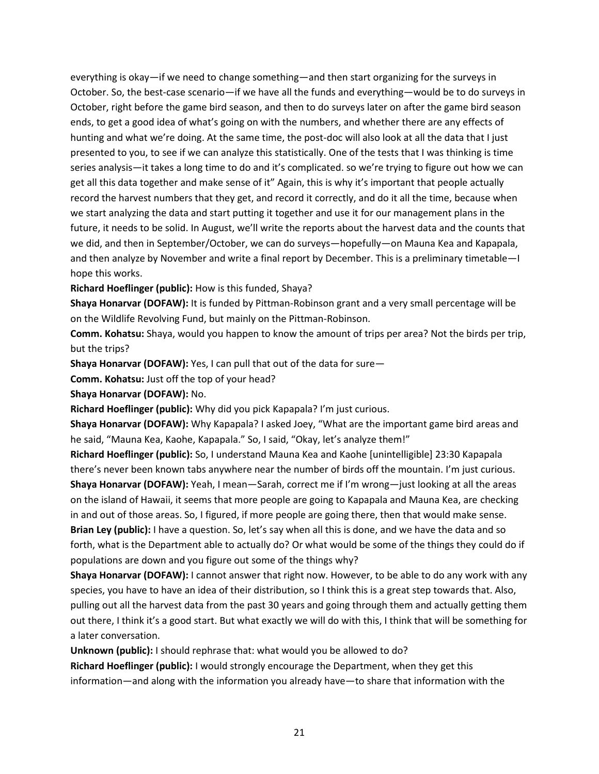everything is okay—if we need to change something—and then start organizing for the surveys in October. So, the best-case scenario—if we have all the funds and everything—would be to do surveys in October, right before the game bird season, and then to do surveys later on after the game bird season ends, to get a good idea of what's going on with the numbers, and whether there are any effects of hunting and what we're doing. At the same time, the post-doc will also look at all the data that I just presented to you, to see if we can analyze this statistically. One of the tests that I was thinking is time series analysis—it takes a long time to do and it's complicated. so we're trying to figure out how we can get all this data together and make sense of it" Again, this is why it's important that people actually record the harvest numbers that they get, and record it correctly, and do it all the time, because when we start analyzing the data and start putting it together and use it for our management plans in the future, it needs to be solid. In August, we'll write the reports about the harvest data and the counts that we did, and then in September/October, we can do surveys—hopefully—on Mauna Kea and Kapapala, and then analyze by November and write a final report by December. This is a preliminary timetable—I hope this works.

**Richard Hoeflinger (public):** How is this funded, Shaya?

**Shaya Honarvar (DOFAW):** It is funded by Pittman-Robinson grant and a very small percentage will be on the Wildlife Revolving Fund, but mainly on the Pittman-Robinson.

**Comm. Kohatsu:** Shaya, would you happen to know the amount of trips per area? Not the birds per trip, but the trips?

**Shaya Honarvar (DOFAW):** Yes, I can pull that out of the data for sure—

**Comm. Kohatsu:** Just off the top of your head?

**Shaya Honarvar (DOFAW):** No.

**Richard Hoeflinger (public):** Why did you pick Kapapala? I'm just curious.

**Shaya Honarvar (DOFAW):** Why Kapapala? I asked Joey, "What are the important game bird areas and he said, "Mauna Kea, Kaohe, Kapapala." So, I said, "Okay, let's analyze them!"

**Richard Hoeflinger (public):** So, I understand Mauna Kea and Kaohe [unintelligible] 23:30 Kapapala there's never been known tabs anywhere near the number of birds off the mountain. I'm just curious. **Shaya Honarvar (DOFAW):** Yeah, I mean—Sarah, correct me if I'm wrong—just looking at all the areas on the island of Hawaii, it seems that more people are going to Kapapala and Mauna Kea, are checking in and out of those areas. So, I figured, if more people are going there, then that would make sense. **Brian Ley (public):** I have a question. So, let's say when all this is done, and we have the data and so forth, what is the Department able to actually do? Or what would be some of the things they could do if populations are down and you figure out some of the things why?

**Shaya Honarvar (DOFAW):** I cannot answer that right now. However, to be able to do any work with any species, you have to have an idea of their distribution, so I think this is a great step towards that. Also, pulling out all the harvest data from the past 30 years and going through them and actually getting them out there, I think it's a good start. But what exactly we will do with this, I think that will be something for a later conversation.

**Unknown (public):** I should rephrase that: what would you be allowed to do?

**Richard Hoeflinger (public):** I would strongly encourage the Department, when they get this information—and along with the information you already have—to share that information with the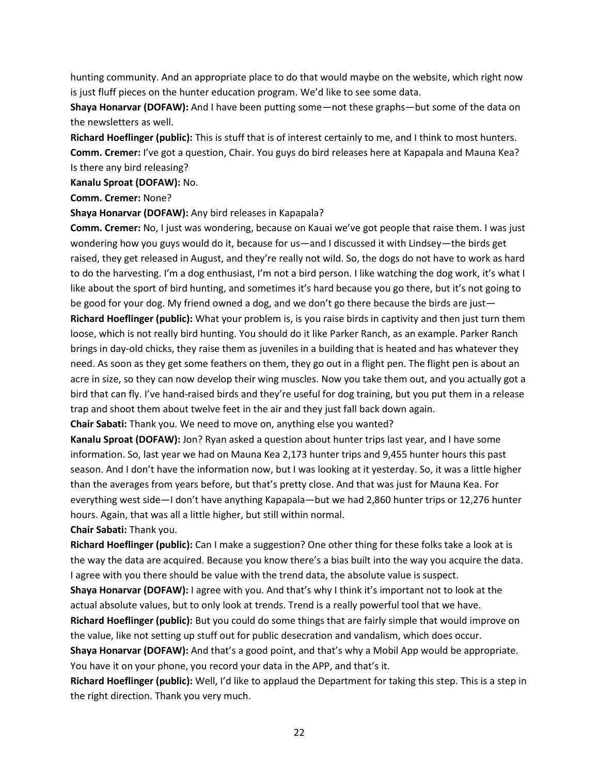hunting community. And an appropriate place to do that would maybe on the website, which right now is just fluff pieces on the hunter education program. We'd like to see some data.

**Shaya Honarvar (DOFAW):** And I have been putting some—not these graphs—but some of the data on the newsletters as well.

**Richard Hoeflinger (public):** This is stuff that is of interest certainly to me, and I think to most hunters. **Comm. Cremer:** I've got a question, Chair. You guys do bird releases here at Kapapala and Mauna Kea? Is there any bird releasing?

**Kanalu Sproat (DOFAW):** No.

**Comm. Cremer:** None?

**Shaya Honarvar (DOFAW):** Any bird releases in Kapapala?

**Comm. Cremer:** No, I just was wondering, because on Kauai we've got people that raise them. I was just wondering how you guys would do it, because for us—and I discussed it with Lindsey—the birds get raised, they get released in August, and they're really not wild. So, the dogs do not have to work as hard to do the harvesting. I'm a dog enthusiast, I'm not a bird person. I like watching the dog work, it's what I like about the sport of bird hunting, and sometimes it's hard because you go there, but it's not going to be good for your dog. My friend owned a dog, and we don't go there because the birds are just— **Richard Hoeflinger (public):** What your problem is, is you raise birds in captivity and then just turn them loose, which is not really bird hunting. You should do it like Parker Ranch, as an example. Parker Ranch brings in day-old chicks, they raise them as juveniles in a building that is heated and has whatever they need. As soon as they get some feathers on them, they go out in a flight pen. The flight pen is about an acre in size, so they can now develop their wing muscles. Now you take them out, and you actually got a bird that can fly. I've hand-raised birds and they're useful for dog training, but you put them in a release trap and shoot them about twelve feet in the air and they just fall back down again.

**Chair Sabati:** Thank you. We need to move on, anything else you wanted?

**Kanalu Sproat (DOFAW):** Jon? Ryan asked a question about hunter trips last year, and I have some information. So, last year we had on Mauna Kea 2,173 hunter trips and 9,455 hunter hours this past season. And I don't have the information now, but I was looking at it yesterday. So, it was a little higher than the averages from years before, but that's pretty close. And that was just for Mauna Kea. For everything west side—I don't have anything Kapapala—but we had 2,860 hunter trips or 12,276 hunter hours. Again, that was all a little higher, but still within normal.

**Chair Sabati:** Thank you.

**Richard Hoeflinger (public):** Can I make a suggestion? One other thing for these folks take a look at is the way the data are acquired. Because you know there's a bias built into the way you acquire the data. I agree with you there should be value with the trend data, the absolute value is suspect.

**Shaya Honarvar (DOFAW):** I agree with you. And that's why I think it's important not to look at the actual absolute values, but to only look at trends. Trend is a really powerful tool that we have.

**Richard Hoeflinger (public):** But you could do some things that are fairly simple that would improve on the value, like not setting up stuff out for public desecration and vandalism, which does occur.

**Shaya Honarvar (DOFAW):** And that's a good point, and that's why a Mobil App would be appropriate. You have it on your phone, you record your data in the APP, and that's it.

**Richard Hoeflinger (public):** Well, I'd like to applaud the Department for taking this step. This is a step in the right direction. Thank you very much.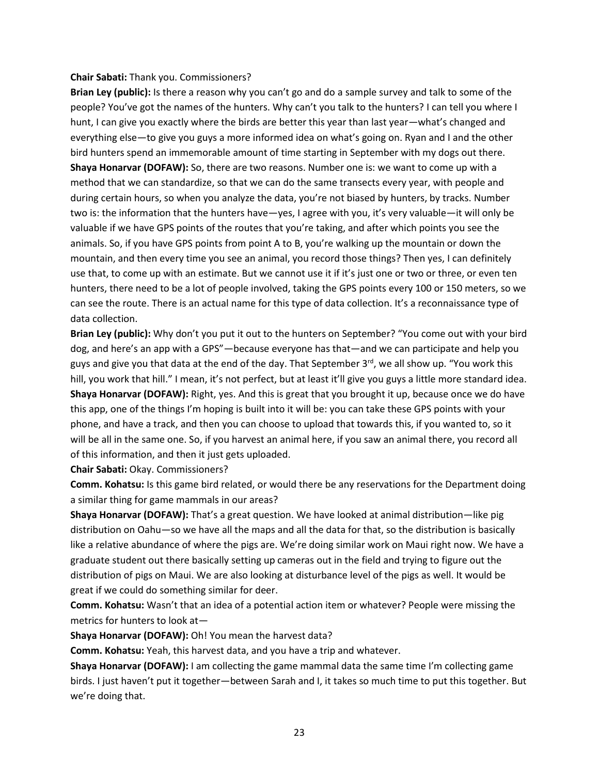#### **Chair Sabati:** Thank you. Commissioners?

**Brian Ley (public):** Is there a reason why you can't go and do a sample survey and talk to some of the people? You've got the names of the hunters. Why can't you talk to the hunters? I can tell you where I hunt, I can give you exactly where the birds are better this year than last year—what's changed and everything else—to give you guys a more informed idea on what's going on. Ryan and I and the other bird hunters spend an immemorable amount of time starting in September with my dogs out there. **Shaya Honarvar (DOFAW):** So, there are two reasons. Number one is: we want to come up with a method that we can standardize, so that we can do the same transects every year, with people and during certain hours, so when you analyze the data, you're not biased by hunters, by tracks. Number two is: the information that the hunters have—yes, I agree with you, it's very valuable—it will only be valuable if we have GPS points of the routes that you're taking, and after which points you see the animals. So, if you have GPS points from point A to B, you're walking up the mountain or down the mountain, and then every time you see an animal, you record those things? Then yes, I can definitely use that, to come up with an estimate. But we cannot use it if it's just one or two or three, or even ten hunters, there need to be a lot of people involved, taking the GPS points every 100 or 150 meters, so we can see the route. There is an actual name for this type of data collection. It's a reconnaissance type of data collection.

**Brian Ley (public):** Why don't you put it out to the hunters on September? "You come out with your bird dog, and here's an app with a GPS"—because everyone has that—and we can participate and help you guys and give you that data at the end of the day. That September  $3<sup>rd</sup>$ , we all show up. "You work this hill, you work that hill." I mean, it's not perfect, but at least it'll give you guys a little more standard idea. **Shaya Honarvar (DOFAW):** Right, yes. And this is great that you brought it up, because once we do have this app, one of the things I'm hoping is built into it will be: you can take these GPS points with your phone, and have a track, and then you can choose to upload that towards this, if you wanted to, so it will be all in the same one. So, if you harvest an animal here, if you saw an animal there, you record all of this information, and then it just gets uploaded.

#### **Chair Sabati:** Okay. Commissioners?

**Comm. Kohatsu:** Is this game bird related, or would there be any reservations for the Department doing a similar thing for game mammals in our areas?

**Shaya Honarvar (DOFAW):** That's a great question. We have looked at animal distribution—like pig distribution on Oahu—so we have all the maps and all the data for that, so the distribution is basically like a relative abundance of where the pigs are. We're doing similar work on Maui right now. We have a graduate student out there basically setting up cameras out in the field and trying to figure out the distribution of pigs on Maui. We are also looking at disturbance level of the pigs as well. It would be great if we could do something similar for deer.

**Comm. Kohatsu:** Wasn't that an idea of a potential action item or whatever? People were missing the metrics for hunters to look at—

**Shaya Honarvar (DOFAW):** Oh! You mean the harvest data?

**Comm. Kohatsu:** Yeah, this harvest data, and you have a trip and whatever.

**Shaya Honarvar (DOFAW):** I am collecting the game mammal data the same time I'm collecting game birds. I just haven't put it together—between Sarah and I, it takes so much time to put this together. But we're doing that.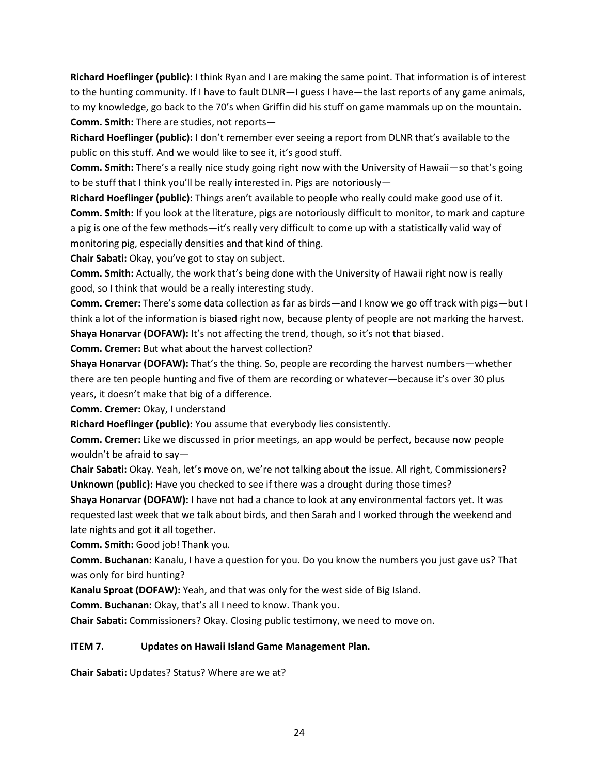**Richard Hoeflinger (public):** I think Ryan and I are making the same point. That information is of interest to the hunting community. If I have to fault DLNR—I guess I have—the last reports of any game animals, to my knowledge, go back to the 70's when Griffin did his stuff on game mammals up on the mountain. **Comm. Smith:** There are studies, not reports—

**Richard Hoeflinger (public):** I don't remember ever seeing a report from DLNR that's available to the public on this stuff. And we would like to see it, it's good stuff.

**Comm. Smith:** There's a really nice study going right now with the University of Hawaii—so that's going to be stuff that I think you'll be really interested in. Pigs are notoriously—

**Richard Hoeflinger (public):** Things aren't available to people who really could make good use of it. **Comm. Smith:** If you look at the literature, pigs are notoriously difficult to monitor, to mark and capture a pig is one of the few methods—it's really very difficult to come up with a statistically valid way of monitoring pig, especially densities and that kind of thing.

**Chair Sabati:** Okay, you've got to stay on subject.

**Comm. Smith:** Actually, the work that's being done with the University of Hawaii right now is really good, so I think that would be a really interesting study.

**Comm. Cremer:** There's some data collection as far as birds—and I know we go off track with pigs—but I think a lot of the information is biased right now, because plenty of people are not marking the harvest.

Shaya Honarvar (DOFAW): It's not affecting the trend, though, so it's not that biased.

**Comm. Cremer:** But what about the harvest collection?

**Shaya Honarvar (DOFAW):** That's the thing. So, people are recording the harvest numbers—whether there are ten people hunting and five of them are recording or whatever—because it's over 30 plus years, it doesn't make that big of a difference.

**Comm. Cremer:** Okay, I understand

**Richard Hoeflinger (public):** You assume that everybody lies consistently.

**Comm. Cremer:** Like we discussed in prior meetings, an app would be perfect, because now people wouldn't be afraid to say—

**Chair Sabati:** Okay. Yeah, let's move on, we're not talking about the issue. All right, Commissioners? **Unknown (public):** Have you checked to see if there was a drought during those times?

**Shaya Honarvar (DOFAW):** I have not had a chance to look at any environmental factors yet. It was requested last week that we talk about birds, and then Sarah and I worked through the weekend and late nights and got it all together.

**Comm. Smith:** Good job! Thank you.

**Comm. Buchanan:** Kanalu, I have a question for you. Do you know the numbers you just gave us? That was only for bird hunting?

**Kanalu Sproat (DOFAW):** Yeah, and that was only for the west side of Big Island.

**Comm. Buchanan:** Okay, that's all I need to know. Thank you.

**Chair Sabati:** Commissioners? Okay. Closing public testimony, we need to move on.

# **ITEM 7. Updates on Hawaii Island Game Management Plan.**

**Chair Sabati:** Updates? Status? Where are we at?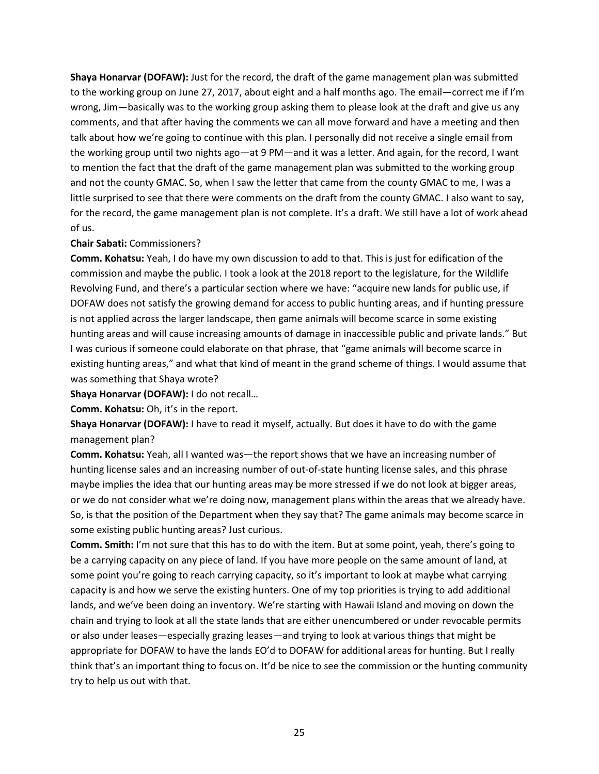**Shaya Honarvar (DOFAW):** Just for the record, the draft of the game management plan was submitted to the working group on June 27, 2017, about eight and a half months ago. The email—correct me if I'm wrong, Jim—basically was to the working group asking them to please look at the draft and give us any comments, and that after having the comments we can all move forward and have a meeting and then talk about how we're going to continue with this plan. I personally did not receive a single email from the working group until two nights ago—at 9 PM—and it was a letter. And again, for the record, I want to mention the fact that the draft of the game management plan was submitted to the working group and not the county GMAC. So, when I saw the letter that came from the county GMAC to me, I was a little surprised to see that there were comments on the draft from the county GMAC. I also want to say, for the record, the game management plan is not complete. It's a draft. We still have a lot of work ahead of us.

### **Chair Sabati:** Commissioners?

**Comm. Kohatsu:** Yeah, I do have my own discussion to add to that. This is just for edification of the commission and maybe the public. I took a look at the 2018 report to the legislature, for the Wildlife Revolving Fund, and there's a particular section where we have: "acquire new lands for public use, if DOFAW does not satisfy the growing demand for access to public hunting areas, and if hunting pressure is not applied across the larger landscape, then game animals will become scarce in some existing hunting areas and will cause increasing amounts of damage in inaccessible public and private lands." But I was curious if someone could elaborate on that phrase, that "game animals will become scarce in existing hunting areas," and what that kind of meant in the grand scheme of things. I would assume that was something that Shaya wrote?

**Shaya Honarvar (DOFAW):** I do not recall…

**Comm. Kohatsu:** Oh, it's in the report.

**Shaya Honarvar (DOFAW):** I have to read it myself, actually. But does it have to do with the game management plan?

**Comm. Kohatsu:** Yeah, all I wanted was—the report shows that we have an increasing number of hunting license sales and an increasing number of out-of-state hunting license sales, and this phrase maybe implies the idea that our hunting areas may be more stressed if we do not look at bigger areas, or we do not consider what we're doing now, management plans within the areas that we already have. So, is that the position of the Department when they say that? The game animals may become scarce in some existing public hunting areas? Just curious.

**Comm. Smith:** I'm not sure that this has to do with the item. But at some point, yeah, there's going to be a carrying capacity on any piece of land. If you have more people on the same amount of land, at some point you're going to reach carrying capacity, so it's important to look at maybe what carrying capacity is and how we serve the existing hunters. One of my top priorities is trying to add additional lands, and we've been doing an inventory. We're starting with Hawaii Island and moving on down the chain and trying to look at all the state lands that are either unencumbered or under revocable permits or also under leases—especially grazing leases—and trying to look at various things that might be appropriate for DOFAW to have the lands EO'd to DOFAW for additional areas for hunting. But I really think that's an important thing to focus on. It'd be nice to see the commission or the hunting community try to help us out with that.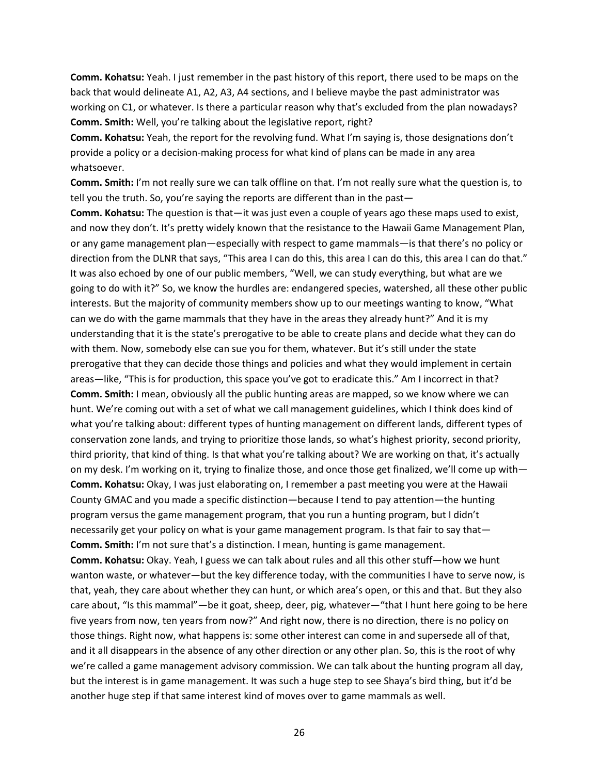**Comm. Kohatsu:** Yeah. I just remember in the past history of this report, there used to be maps on the back that would delineate A1, A2, A3, A4 sections, and I believe maybe the past administrator was working on C1, or whatever. Is there a particular reason why that's excluded from the plan nowadays? **Comm. Smith:** Well, you're talking about the legislative report, right?

**Comm. Kohatsu:** Yeah, the report for the revolving fund. What I'm saying is, those designations don't provide a policy or a decision-making process for what kind of plans can be made in any area whatsoever.

**Comm. Smith:** I'm not really sure we can talk offline on that. I'm not really sure what the question is, to tell you the truth. So, you're saying the reports are different than in the past—

**Comm. Kohatsu:** The question is that—it was just even a couple of years ago these maps used to exist, and now they don't. It's pretty widely known that the resistance to the Hawaii Game Management Plan, or any game management plan—especially with respect to game mammals—is that there's no policy or direction from the DLNR that says, "This area I can do this, this area I can do this, this area I can do that." It was also echoed by one of our public members, "Well, we can study everything, but what are we going to do with it?" So, we know the hurdles are: endangered species, watershed, all these other public interests. But the majority of community members show up to our meetings wanting to know, "What can we do with the game mammals that they have in the areas they already hunt?" And it is my understanding that it is the state's prerogative to be able to create plans and decide what they can do with them. Now, somebody else can sue you for them, whatever. But it's still under the state prerogative that they can decide those things and policies and what they would implement in certain areas—like, "This is for production, this space you've got to eradicate this." Am I incorrect in that? **Comm. Smith:** I mean, obviously all the public hunting areas are mapped, so we know where we can hunt. We're coming out with a set of what we call management guidelines, which I think does kind of what you're talking about: different types of hunting management on different lands, different types of conservation zone lands, and trying to prioritize those lands, so what's highest priority, second priority, third priority, that kind of thing. Is that what you're talking about? We are working on that, it's actually on my desk. I'm working on it, trying to finalize those, and once those get finalized, we'll come up with— **Comm. Kohatsu:** Okay, I was just elaborating on, I remember a past meeting you were at the Hawaii County GMAC and you made a specific distinction—because I tend to pay attention—the hunting program versus the game management program, that you run a hunting program, but I didn't necessarily get your policy on what is your game management program. Is that fair to say that— **Comm. Smith:** I'm not sure that's a distinction. I mean, hunting is game management. **Comm. Kohatsu:** Okay. Yeah, I guess we can talk about rules and all this other stuff—how we hunt wanton waste, or whatever—but the key difference today, with the communities I have to serve now, is that, yeah, they care about whether they can hunt, or which area's open, or this and that. But they also care about, "Is this mammal"—be it goat, sheep, deer, pig, whatever—"that I hunt here going to be here

those things. Right now, what happens is: some other interest can come in and supersede all of that, and it all disappears in the absence of any other direction or any other plan. So, this is the root of why we're called a game management advisory commission. We can talk about the hunting program all day, but the interest is in game management. It was such a huge step to see Shaya's bird thing, but it'd be another huge step if that same interest kind of moves over to game mammals as well.

five years from now, ten years from now?" And right now, there is no direction, there is no policy on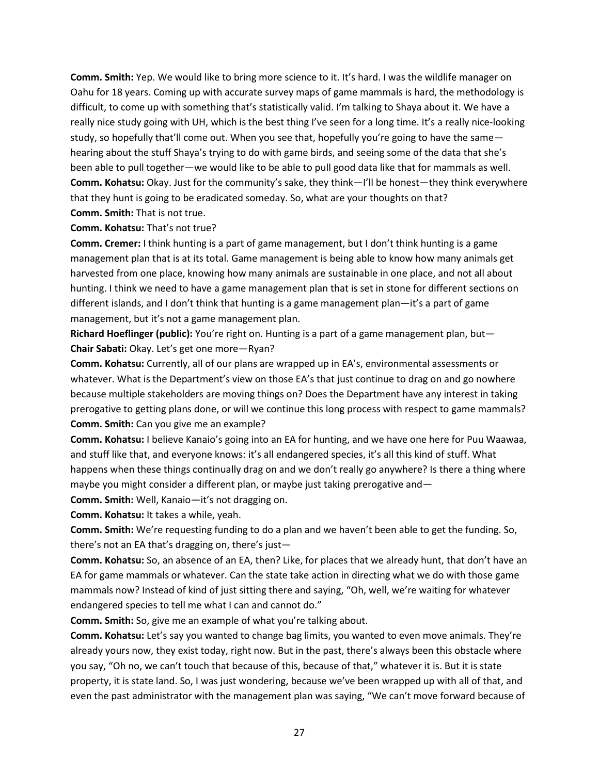**Comm. Smith:** Yep. We would like to bring more science to it. It's hard. I was the wildlife manager on Oahu for 18 years. Coming up with accurate survey maps of game mammals is hard, the methodology is difficult, to come up with something that's statistically valid. I'm talking to Shaya about it. We have a really nice study going with UH, which is the best thing I've seen for a long time. It's a really nice-looking study, so hopefully that'll come out. When you see that, hopefully you're going to have the same hearing about the stuff Shaya's trying to do with game birds, and seeing some of the data that she's been able to pull together—we would like to be able to pull good data like that for mammals as well. **Comm. Kohatsu:** Okay. Just for the community's sake, they think—I'll be honest—they think everywhere that they hunt is going to be eradicated someday. So, what are your thoughts on that? **Comm. Smith:** That is not true.

### **Comm. Kohatsu:** That's not true?

**Comm. Cremer:** I think hunting is a part of game management, but I don't think hunting is a game management plan that is at its total. Game management is being able to know how many animals get harvested from one place, knowing how many animals are sustainable in one place, and not all about hunting. I think we need to have a game management plan that is set in stone for different sections on different islands, and I don't think that hunting is a game management plan—it's a part of game management, but it's not a game management plan.

**Richard Hoeflinger (public):** You're right on. Hunting is a part of a game management plan, but— **Chair Sabati:** Okay. Let's get one more—Ryan?

**Comm. Kohatsu:** Currently, all of our plans are wrapped up in EA's, environmental assessments or whatever. What is the Department's view on those EA's that just continue to drag on and go nowhere because multiple stakeholders are moving things on? Does the Department have any interest in taking prerogative to getting plans done, or will we continue this long process with respect to game mammals? **Comm. Smith:** Can you give me an example?

**Comm. Kohatsu:** I believe Kanaio's going into an EA for hunting, and we have one here for Puu Waawaa, and stuff like that, and everyone knows: it's all endangered species, it's all this kind of stuff. What happens when these things continually drag on and we don't really go anywhere? Is there a thing where maybe you might consider a different plan, or maybe just taking prerogative and—

**Comm. Smith:** Well, Kanaio—it's not dragging on.

**Comm. Kohatsu:** It takes a while, yeah.

**Comm. Smith:** We're requesting funding to do a plan and we haven't been able to get the funding. So, there's not an EA that's dragging on, there's just—

**Comm. Kohatsu:** So, an absence of an EA, then? Like, for places that we already hunt, that don't have an EA for game mammals or whatever. Can the state take action in directing what we do with those game mammals now? Instead of kind of just sitting there and saying, "Oh, well, we're waiting for whatever endangered species to tell me what I can and cannot do."

**Comm. Smith:** So, give me an example of what you're talking about.

**Comm. Kohatsu:** Let's say you wanted to change bag limits, you wanted to even move animals. They're already yours now, they exist today, right now. But in the past, there's always been this obstacle where you say, "Oh no, we can't touch that because of this, because of that," whatever it is. But it is state property, it is state land. So, I was just wondering, because we've been wrapped up with all of that, and even the past administrator with the management plan was saying, "We can't move forward because of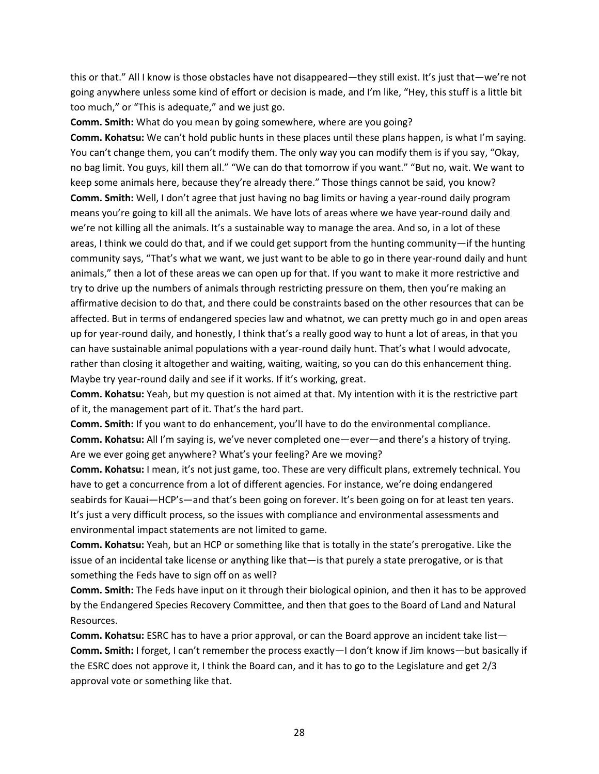this or that." All I know is those obstacles have not disappeared—they still exist. It's just that—we're not going anywhere unless some kind of effort or decision is made, and I'm like, "Hey, this stuff is a little bit too much," or "This is adequate," and we just go.

**Comm. Smith:** What do you mean by going somewhere, where are you going?

**Comm. Kohatsu:** We can't hold public hunts in these places until these plans happen, is what I'm saying. You can't change them, you can't modify them. The only way you can modify them is if you say, "Okay, no bag limit. You guys, kill them all." "We can do that tomorrow if you want." "But no, wait. We want to keep some animals here, because they're already there." Those things cannot be said, you know? **Comm. Smith:** Well, I don't agree that just having no bag limits or having a year-round daily program means you're going to kill all the animals. We have lots of areas where we have year-round daily and we're not killing all the animals. It's a sustainable way to manage the area. And so, in a lot of these areas, I think we could do that, and if we could get support from the hunting community—if the hunting community says, "That's what we want, we just want to be able to go in there year-round daily and hunt animals," then a lot of these areas we can open up for that. If you want to make it more restrictive and try to drive up the numbers of animals through restricting pressure on them, then you're making an affirmative decision to do that, and there could be constraints based on the other resources that can be affected. But in terms of endangered species law and whatnot, we can pretty much go in and open areas up for year-round daily, and honestly, I think that's a really good way to hunt a lot of areas, in that you can have sustainable animal populations with a year-round daily hunt. That's what I would advocate, rather than closing it altogether and waiting, waiting, waiting, so you can do this enhancement thing. Maybe try year-round daily and see if it works. If it's working, great.

**Comm. Kohatsu:** Yeah, but my question is not aimed at that. My intention with it is the restrictive part of it, the management part of it. That's the hard part.

**Comm. Smith:** If you want to do enhancement, you'll have to do the environmental compliance. **Comm. Kohatsu:** All I'm saying is, we've never completed one—ever—and there's a history of trying. Are we ever going get anywhere? What's your feeling? Are we moving?

**Comm. Kohatsu:** I mean, it's not just game, too. These are very difficult plans, extremely technical. You have to get a concurrence from a lot of different agencies. For instance, we're doing endangered seabirds for Kauai—HCP's—and that's been going on forever. It's been going on for at least ten years. It's just a very difficult process, so the issues with compliance and environmental assessments and environmental impact statements are not limited to game.

**Comm. Kohatsu:** Yeah, but an HCP or something like that is totally in the state's prerogative. Like the issue of an incidental take license or anything like that—is that purely a state prerogative, or is that something the Feds have to sign off on as well?

**Comm. Smith:** The Feds have input on it through their biological opinion, and then it has to be approved by the Endangered Species Recovery Committee, and then that goes to the Board of Land and Natural Resources.

**Comm. Kohatsu:** ESRC has to have a prior approval, or can the Board approve an incident take list— **Comm. Smith:** I forget, I can't remember the process exactly—I don't know if Jim knows—but basically if the ESRC does not approve it, I think the Board can, and it has to go to the Legislature and get 2/3 approval vote or something like that.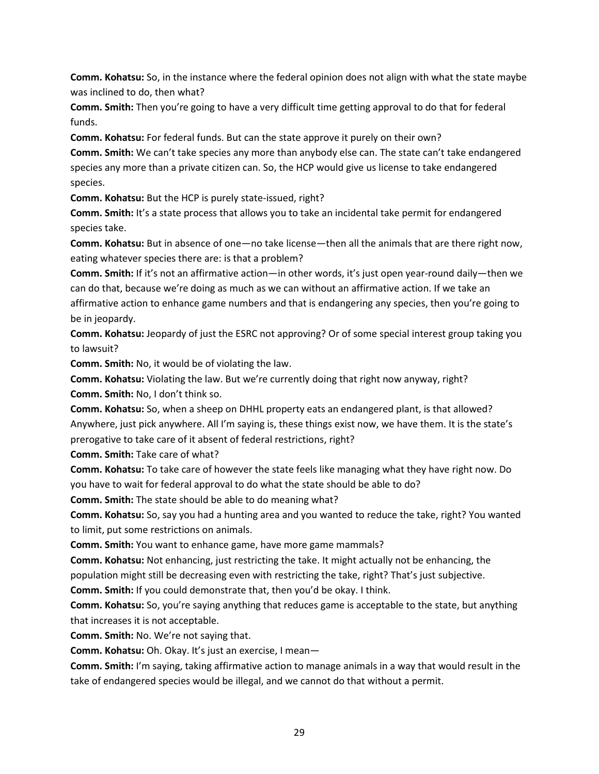**Comm. Kohatsu:** So, in the instance where the federal opinion does not align with what the state maybe was inclined to do, then what?

**Comm. Smith:** Then you're going to have a very difficult time getting approval to do that for federal funds.

**Comm. Kohatsu:** For federal funds. But can the state approve it purely on their own?

**Comm. Smith:** We can't take species any more than anybody else can. The state can't take endangered species any more than a private citizen can. So, the HCP would give us license to take endangered species.

**Comm. Kohatsu:** But the HCP is purely state-issued, right?

**Comm. Smith:** It's a state process that allows you to take an incidental take permit for endangered species take.

**Comm. Kohatsu:** But in absence of one—no take license—then all the animals that are there right now, eating whatever species there are: is that a problem?

**Comm. Smith:** If it's not an affirmative action—in other words, it's just open year-round daily—then we can do that, because we're doing as much as we can without an affirmative action. If we take an affirmative action to enhance game numbers and that is endangering any species, then you're going to be in jeopardy.

**Comm. Kohatsu:** Jeopardy of just the ESRC not approving? Or of some special interest group taking you to lawsuit?

**Comm. Smith:** No, it would be of violating the law.

**Comm. Kohatsu:** Violating the law. But we're currently doing that right now anyway, right? **Comm. Smith:** No, I don't think so.

**Comm. Kohatsu:** So, when a sheep on DHHL property eats an endangered plant, is that allowed? Anywhere, just pick anywhere. All I'm saying is, these things exist now, we have them. It is the state's prerogative to take care of it absent of federal restrictions, right?

**Comm. Smith:** Take care of what?

**Comm. Kohatsu:** To take care of however the state feels like managing what they have right now. Do you have to wait for federal approval to do what the state should be able to do?

**Comm. Smith:** The state should be able to do meaning what?

**Comm. Kohatsu:** So, say you had a hunting area and you wanted to reduce the take, right? You wanted to limit, put some restrictions on animals.

**Comm. Smith:** You want to enhance game, have more game mammals?

**Comm. Kohatsu:** Not enhancing, just restricting the take. It might actually not be enhancing, the population might still be decreasing even with restricting the take, right? That's just subjective.

**Comm. Smith:** If you could demonstrate that, then you'd be okay. I think.

**Comm. Kohatsu:** So, you're saying anything that reduces game is acceptable to the state, but anything that increases it is not acceptable.

**Comm. Smith:** No. We're not saying that.

**Comm. Kohatsu:** Oh. Okay. It's just an exercise, I mean—

**Comm. Smith:** I'm saying, taking affirmative action to manage animals in a way that would result in the take of endangered species would be illegal, and we cannot do that without a permit.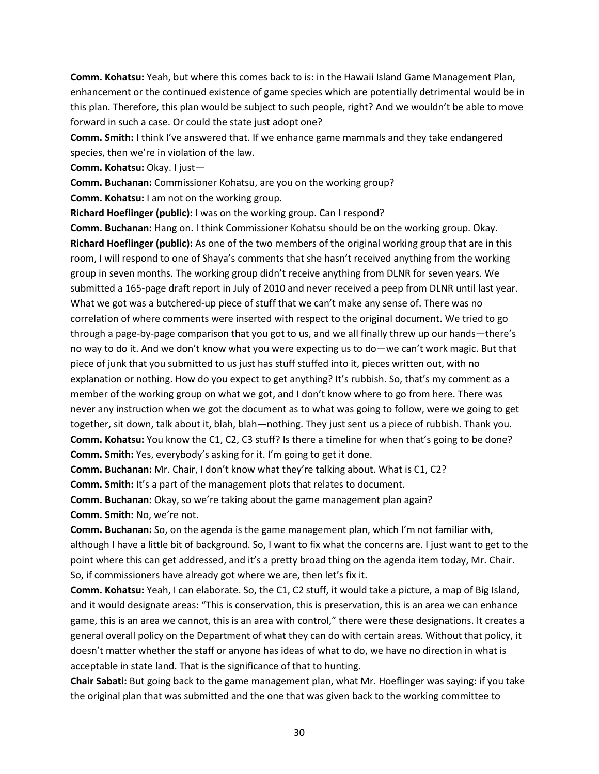**Comm. Kohatsu:** Yeah, but where this comes back to is: in the Hawaii Island Game Management Plan, enhancement or the continued existence of game species which are potentially detrimental would be in this plan. Therefore, this plan would be subject to such people, right? And we wouldn't be able to move forward in such a case. Or could the state just adopt one?

**Comm. Smith:** I think I've answered that. If we enhance game mammals and they take endangered species, then we're in violation of the law.

**Comm. Kohatsu:** Okay. I just—

**Comm. Buchanan:** Commissioner Kohatsu, are you on the working group?

**Comm. Kohatsu:** I am not on the working group.

**Richard Hoeflinger (public):** I was on the working group. Can I respond?

**Comm. Buchanan:** Hang on. I think Commissioner Kohatsu should be on the working group. Okay. **Richard Hoeflinger (public):** As one of the two members of the original working group that are in this room, I will respond to one of Shaya's comments that she hasn't received anything from the working group in seven months. The working group didn't receive anything from DLNR for seven years. We submitted a 165-page draft report in July of 2010 and never received a peep from DLNR until last year. What we got was a butchered-up piece of stuff that we can't make any sense of. There was no correlation of where comments were inserted with respect to the original document. We tried to go through a page-by-page comparison that you got to us, and we all finally threw up our hands—there's no way to do it. And we don't know what you were expecting us to do—we can't work magic. But that piece of junk that you submitted to us just has stuff stuffed into it, pieces written out, with no explanation or nothing. How do you expect to get anything? It's rubbish. So, that's my comment as a member of the working group on what we got, and I don't know where to go from here. There was never any instruction when we got the document as to what was going to follow, were we going to get together, sit down, talk about it, blah, blah—nothing. They just sent us a piece of rubbish. Thank you. **Comm. Kohatsu:** You know the C1, C2, C3 stuff? Is there a timeline for when that's going to be done? **Comm. Smith:** Yes, everybody's asking for it. I'm going to get it done.

**Comm. Buchanan:** Mr. Chair, I don't know what they're talking about. What is C1, C2?

**Comm. Smith:** It's a part of the management plots that relates to document.

**Comm. Buchanan:** Okay, so we're taking about the game management plan again?

**Comm. Smith:** No, we're not.

**Comm. Buchanan:** So, on the agenda is the game management plan, which I'm not familiar with, although I have a little bit of background. So, I want to fix what the concerns are. I just want to get to the point where this can get addressed, and it's a pretty broad thing on the agenda item today, Mr. Chair. So, if commissioners have already got where we are, then let's fix it.

**Comm. Kohatsu:** Yeah, I can elaborate. So, the C1, C2 stuff, it would take a picture, a map of Big Island, and it would designate areas: "This is conservation, this is preservation, this is an area we can enhance game, this is an area we cannot, this is an area with control," there were these designations. It creates a general overall policy on the Department of what they can do with certain areas. Without that policy, it doesn't matter whether the staff or anyone has ideas of what to do, we have no direction in what is acceptable in state land. That is the significance of that to hunting.

**Chair Sabati:** But going back to the game management plan, what Mr. Hoeflinger was saying: if you take the original plan that was submitted and the one that was given back to the working committee to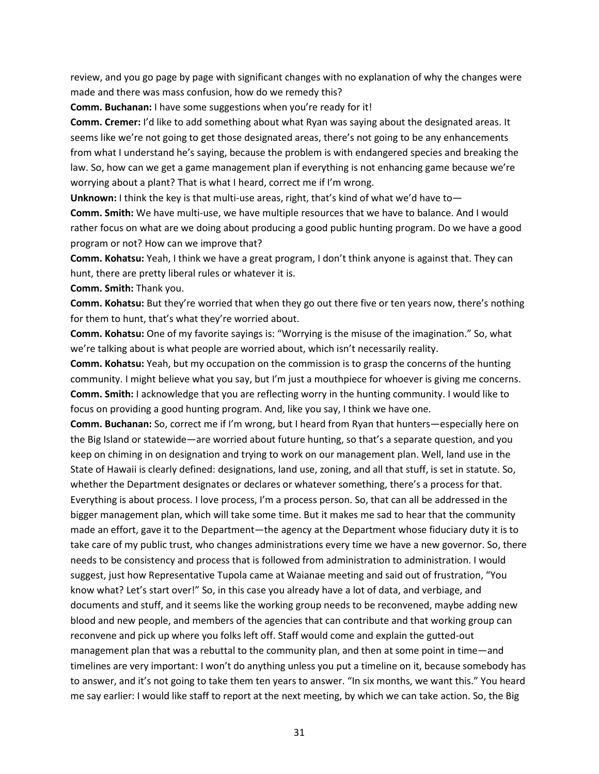review, and you go page by page with significant changes with no explanation of why the changes were made and there was mass confusion, how do we remedy this?

**Comm. Buchanan:** I have some suggestions when you're ready for it!

**Comm. Cremer:** I'd like to add something about what Ryan was saying about the designated areas. It seems like we're not going to get those designated areas, there's not going to be any enhancements from what I understand he's saying, because the problem is with endangered species and breaking the law. So, how can we get a game management plan if everything is not enhancing game because we're worrying about a plant? That is what I heard, correct me if I'm wrong.

**Unknown:** I think the key is that multi-use areas, right, that's kind of what we'd have to—

**Comm. Smith:** We have multi-use, we have multiple resources that we have to balance. And I would rather focus on what are we doing about producing a good public hunting program. Do we have a good program or not? How can we improve that?

**Comm. Kohatsu:** Yeah, I think we have a great program, I don't think anyone is against that. They can hunt, there are pretty liberal rules or whatever it is.

**Comm. Smith:** Thank you.

**Comm. Kohatsu:** But they're worried that when they go out there five or ten years now, there's nothing for them to hunt, that's what they're worried about.

**Comm. Kohatsu:** One of my favorite sayings is: "Worrying is the misuse of the imagination." So, what we're talking about is what people are worried about, which isn't necessarily reality.

**Comm. Kohatsu:** Yeah, but my occupation on the commission is to grasp the concerns of the hunting community. I might believe what you say, but I'm just a mouthpiece for whoever is giving me concerns. **Comm. Smith:** I acknowledge that you are reflecting worry in the hunting community. I would like to focus on providing a good hunting program. And, like you say, I think we have one.

**Comm. Buchanan:** So, correct me if I'm wrong, but I heard from Ryan that hunters—especially here on the Big Island or statewide—are worried about future hunting, so that's a separate question, and you keep on chiming in on designation and trying to work on our management plan. Well, land use in the State of Hawaii is clearly defined: designations, land use, zoning, and all that stuff, is set in statute. So, whether the Department designates or declares or whatever something, there's a process for that. Everything is about process. I love process, I'm a process person. So, that can all be addressed in the bigger management plan, which will take some time. But it makes me sad to hear that the community made an effort, gave it to the Department—the agency at the Department whose fiduciary duty it is to take care of my public trust, who changes administrations every time we have a new governor. So, there needs to be consistency and process that is followed from administration to administration. I would suggest, just how Representative Tupola came at Waianae meeting and said out of frustration, "You know what? Let's start over!" So, in this case you already have a lot of data, and verbiage, and documents and stuff, and it seems like the working group needs to be reconvened, maybe adding new blood and new people, and members of the agencies that can contribute and that working group can reconvene and pick up where you folks left off. Staff would come and explain the gutted-out management plan that was a rebuttal to the community plan, and then at some point in time—and timelines are very important: I won't do anything unless you put a timeline on it, because somebody has to answer, and it's not going to take them ten years to answer. "In six months, we want this." You heard me say earlier: I would like staff to report at the next meeting, by which we can take action. So, the Big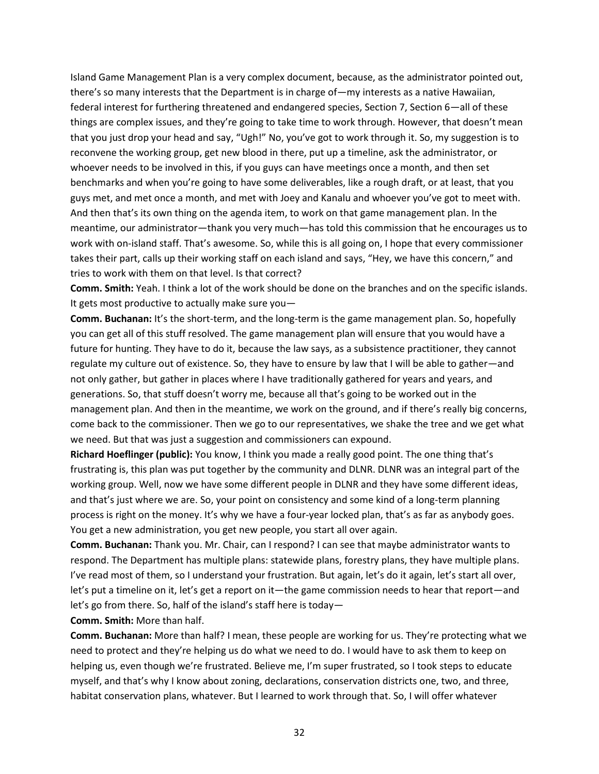Island Game Management Plan is a very complex document, because, as the administrator pointed out, there's so many interests that the Department is in charge of—my interests as a native Hawaiian, federal interest for furthering threatened and endangered species, Section 7, Section 6—all of these things are complex issues, and they're going to take time to work through. However, that doesn't mean that you just drop your head and say, "Ugh!" No, you've got to work through it. So, my suggestion is to reconvene the working group, get new blood in there, put up a timeline, ask the administrator, or whoever needs to be involved in this, if you guys can have meetings once a month, and then set benchmarks and when you're going to have some deliverables, like a rough draft, or at least, that you guys met, and met once a month, and met with Joey and Kanalu and whoever you've got to meet with. And then that's its own thing on the agenda item, to work on that game management plan. In the meantime, our administrator—thank you very much—has told this commission that he encourages us to work with on-island staff. That's awesome. So, while this is all going on, I hope that every commissioner takes their part, calls up their working staff on each island and says, "Hey, we have this concern," and tries to work with them on that level. Is that correct?

**Comm. Smith:** Yeah. I think a lot of the work should be done on the branches and on the specific islands. It gets most productive to actually make sure you—

**Comm. Buchanan:** It's the short-term, and the long-term is the game management plan. So, hopefully you can get all of this stuff resolved. The game management plan will ensure that you would have a future for hunting. They have to do it, because the law says, as a subsistence practitioner, they cannot regulate my culture out of existence. So, they have to ensure by law that I will be able to gather—and not only gather, but gather in places where I have traditionally gathered for years and years, and generations. So, that stuff doesn't worry me, because all that's going to be worked out in the management plan. And then in the meantime, we work on the ground, and if there's really big concerns, come back to the commissioner. Then we go to our representatives, we shake the tree and we get what we need. But that was just a suggestion and commissioners can expound.

**Richard Hoeflinger (public):** You know, I think you made a really good point. The one thing that's frustrating is, this plan was put together by the community and DLNR. DLNR was an integral part of the working group. Well, now we have some different people in DLNR and they have some different ideas, and that's just where we are. So, your point on consistency and some kind of a long-term planning process is right on the money. It's why we have a four-year locked plan, that's as far as anybody goes. You get a new administration, you get new people, you start all over again.

**Comm. Buchanan:** Thank you. Mr. Chair, can I respond? I can see that maybe administrator wants to respond. The Department has multiple plans: statewide plans, forestry plans, they have multiple plans. I've read most of them, so I understand your frustration. But again, let's do it again, let's start all over, let's put a timeline on it, let's get a report on it—the game commission needs to hear that report—and let's go from there. So, half of the island's staff here is today—

**Comm. Smith:** More than half.

**Comm. Buchanan:** More than half? I mean, these people are working for us. They're protecting what we need to protect and they're helping us do what we need to do. I would have to ask them to keep on helping us, even though we're frustrated. Believe me, I'm super frustrated, so I took steps to educate myself, and that's why I know about zoning, declarations, conservation districts one, two, and three, habitat conservation plans, whatever. But I learned to work through that. So, I will offer whatever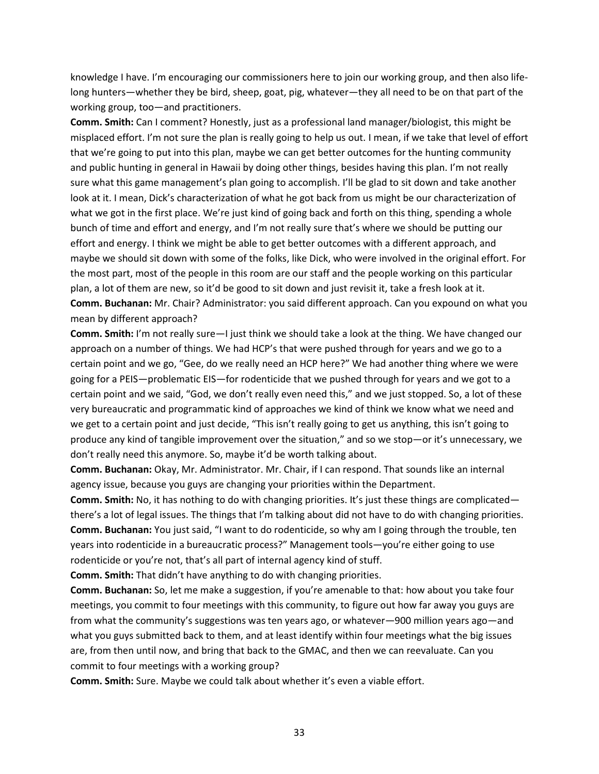knowledge I have. I'm encouraging our commissioners here to join our working group, and then also lifelong hunters—whether they be bird, sheep, goat, pig, whatever—they all need to be on that part of the working group, too—and practitioners.

**Comm. Smith:** Can I comment? Honestly, just as a professional land manager/biologist, this might be misplaced effort. I'm not sure the plan is really going to help us out. I mean, if we take that level of effort that we're going to put into this plan, maybe we can get better outcomes for the hunting community and public hunting in general in Hawaii by doing other things, besides having this plan. I'm not really sure what this game management's plan going to accomplish. I'll be glad to sit down and take another look at it. I mean, Dick's characterization of what he got back from us might be our characterization of what we got in the first place. We're just kind of going back and forth on this thing, spending a whole bunch of time and effort and energy, and I'm not really sure that's where we should be putting our effort and energy. I think we might be able to get better outcomes with a different approach, and maybe we should sit down with some of the folks, like Dick, who were involved in the original effort. For the most part, most of the people in this room are our staff and the people working on this particular plan, a lot of them are new, so it'd be good to sit down and just revisit it, take a fresh look at it. **Comm. Buchanan:** Mr. Chair? Administrator: you said different approach. Can you expound on what you mean by different approach?

**Comm. Smith:** I'm not really sure—I just think we should take a look at the thing. We have changed our approach on a number of things. We had HCP's that were pushed through for years and we go to a certain point and we go, "Gee, do we really need an HCP here?" We had another thing where we were going for a PEIS—problematic EIS—for rodenticide that we pushed through for years and we got to a certain point and we said, "God, we don't really even need this," and we just stopped. So, a lot of these very bureaucratic and programmatic kind of approaches we kind of think we know what we need and we get to a certain point and just decide, "This isn't really going to get us anything, this isn't going to produce any kind of tangible improvement over the situation," and so we stop—or it's unnecessary, we don't really need this anymore. So, maybe it'd be worth talking about.

**Comm. Buchanan:** Okay, Mr. Administrator. Mr. Chair, if I can respond. That sounds like an internal agency issue, because you guys are changing your priorities within the Department.

**Comm. Smith:** No, it has nothing to do with changing priorities. It's just these things are complicated there's a lot of legal issues. The things that I'm talking about did not have to do with changing priorities. **Comm. Buchanan:** You just said, "I want to do rodenticide, so why am I going through the trouble, ten years into rodenticide in a bureaucratic process?" Management tools—you're either going to use rodenticide or you're not, that's all part of internal agency kind of stuff.

**Comm. Smith:** That didn't have anything to do with changing priorities.

**Comm. Buchanan:** So, let me make a suggestion, if you're amenable to that: how about you take four meetings, you commit to four meetings with this community, to figure out how far away you guys are from what the community's suggestions was ten years ago, or whatever—900 million years ago—and what you guys submitted back to them, and at least identify within four meetings what the big issues are, from then until now, and bring that back to the GMAC, and then we can reevaluate. Can you commit to four meetings with a working group?

**Comm. Smith:** Sure. Maybe we could talk about whether it's even a viable effort.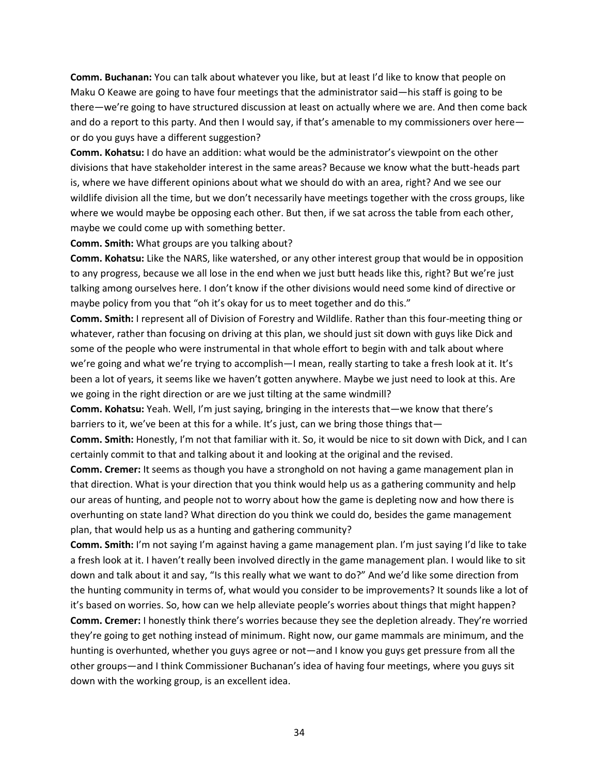**Comm. Buchanan:** You can talk about whatever you like, but at least I'd like to know that people on Maku O Keawe are going to have four meetings that the administrator said—his staff is going to be there—we're going to have structured discussion at least on actually where we are. And then come back and do a report to this party. And then I would say, if that's amenable to my commissioners over here or do you guys have a different suggestion?

**Comm. Kohatsu:** I do have an addition: what would be the administrator's viewpoint on the other divisions that have stakeholder interest in the same areas? Because we know what the butt-heads part is, where we have different opinions about what we should do with an area, right? And we see our wildlife division all the time, but we don't necessarily have meetings together with the cross groups, like where we would maybe be opposing each other. But then, if we sat across the table from each other, maybe we could come up with something better.

### **Comm. Smith:** What groups are you talking about?

**Comm. Kohatsu:** Like the NARS, like watershed, or any other interest group that would be in opposition to any progress, because we all lose in the end when we just butt heads like this, right? But we're just talking among ourselves here. I don't know if the other divisions would need some kind of directive or maybe policy from you that "oh it's okay for us to meet together and do this."

**Comm. Smith:** I represent all of Division of Forestry and Wildlife. Rather than this four-meeting thing or whatever, rather than focusing on driving at this plan, we should just sit down with guys like Dick and some of the people who were instrumental in that whole effort to begin with and talk about where we're going and what we're trying to accomplish—I mean, really starting to take a fresh look at it. It's been a lot of years, it seems like we haven't gotten anywhere. Maybe we just need to look at this. Are we going in the right direction or are we just tilting at the same windmill?

**Comm. Kohatsu:** Yeah. Well, I'm just saying, bringing in the interests that—we know that there's barriers to it, we've been at this for a while. It's just, can we bring those things that-

**Comm. Smith:** Honestly, I'm not that familiar with it. So, it would be nice to sit down with Dick, and I can certainly commit to that and talking about it and looking at the original and the revised.

**Comm. Cremer:** It seems as though you have a stronghold on not having a game management plan in that direction. What is your direction that you think would help us as a gathering community and help our areas of hunting, and people not to worry about how the game is depleting now and how there is overhunting on state land? What direction do you think we could do, besides the game management plan, that would help us as a hunting and gathering community?

**Comm. Smith:** I'm not saying I'm against having a game management plan. I'm just saying I'd like to take a fresh look at it. I haven't really been involved directly in the game management plan. I would like to sit down and talk about it and say, "Is this really what we want to do?" And we'd like some direction from the hunting community in terms of, what would you consider to be improvements? It sounds like a lot of it's based on worries. So, how can we help alleviate people's worries about things that might happen? **Comm. Cremer:** I honestly think there's worries because they see the depletion already. They're worried they're going to get nothing instead of minimum. Right now, our game mammals are minimum, and the hunting is overhunted, whether you guys agree or not—and I know you guys get pressure from all the other groups—and I think Commissioner Buchanan's idea of having four meetings, where you guys sit down with the working group, is an excellent idea.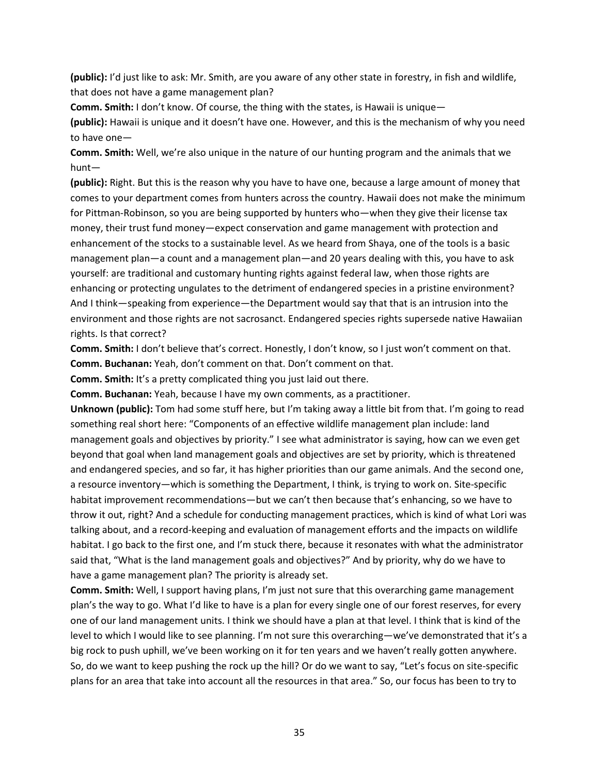**(public):** I'd just like to ask: Mr. Smith, are you aware of any other state in forestry, in fish and wildlife, that does not have a game management plan?

**Comm. Smith:** I don't know. Of course, the thing with the states, is Hawaii is unique—

**(public):** Hawaii is unique and it doesn't have one. However, and this is the mechanism of why you need to have one—

**Comm. Smith:** Well, we're also unique in the nature of our hunting program and the animals that we hunt—

**(public):** Right. But this is the reason why you have to have one, because a large amount of money that comes to your department comes from hunters across the country. Hawaii does not make the minimum for Pittman-Robinson, so you are being supported by hunters who—when they give their license tax money, their trust fund money—expect conservation and game management with protection and enhancement of the stocks to a sustainable level. As we heard from Shaya, one of the tools is a basic management plan—a count and a management plan—and 20 years dealing with this, you have to ask yourself: are traditional and customary hunting rights against federal law, when those rights are enhancing or protecting ungulates to the detriment of endangered species in a pristine environment? And I think—speaking from experience—the Department would say that that is an intrusion into the environment and those rights are not sacrosanct. Endangered species rights supersede native Hawaiian rights. Is that correct?

**Comm. Smith:** I don't believe that's correct. Honestly, I don't know, so I just won't comment on that. **Comm. Buchanan:** Yeah, don't comment on that. Don't comment on that.

**Comm. Smith:** It's a pretty complicated thing you just laid out there.

**Comm. Buchanan:** Yeah, because I have my own comments, as a practitioner.

**Unknown (public):** Tom had some stuff here, but I'm taking away a little bit from that. I'm going to read something real short here: "Components of an effective wildlife management plan include: land management goals and objectives by priority." I see what administrator is saying, how can we even get beyond that goal when land management goals and objectives are set by priority, which is threatened and endangered species, and so far, it has higher priorities than our game animals. And the second one, a resource inventory—which is something the Department, I think, is trying to work on. Site-specific habitat improvement recommendations—but we can't then because that's enhancing, so we have to throw it out, right? And a schedule for conducting management practices, which is kind of what Lori was talking about, and a record-keeping and evaluation of management efforts and the impacts on wildlife habitat. I go back to the first one, and I'm stuck there, because it resonates with what the administrator said that, "What is the land management goals and objectives?" And by priority, why do we have to have a game management plan? The priority is already set.

**Comm. Smith:** Well, I support having plans, I'm just not sure that this overarching game management plan's the way to go. What I'd like to have is a plan for every single one of our forest reserves, for every one of our land management units. I think we should have a plan at that level. I think that is kind of the level to which I would like to see planning. I'm not sure this overarching—we've demonstrated that it's a big rock to push uphill, we've been working on it for ten years and we haven't really gotten anywhere. So, do we want to keep pushing the rock up the hill? Or do we want to say, "Let's focus on site-specific plans for an area that take into account all the resources in that area." So, our focus has been to try to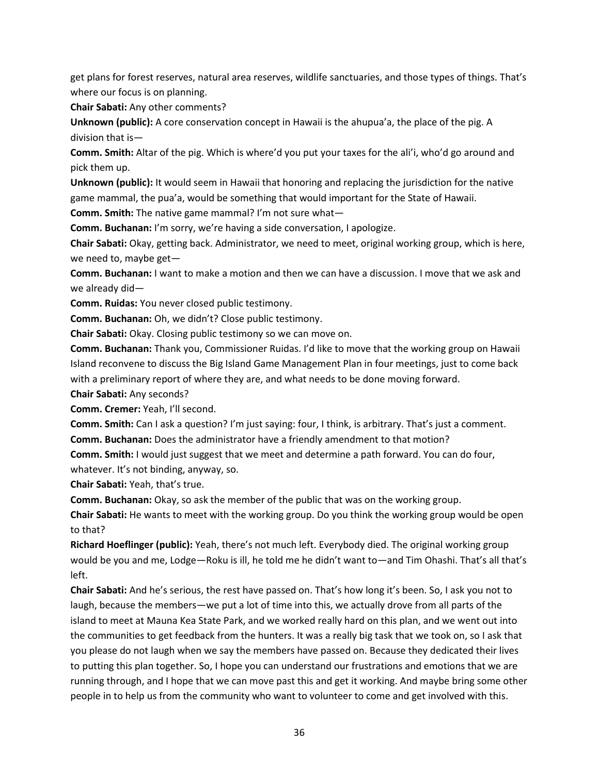get plans for forest reserves, natural area reserves, wildlife sanctuaries, and those types of things. That's where our focus is on planning.

**Chair Sabati:** Any other comments?

**Unknown (public):** A core conservation concept in Hawaii is the ahupua'a, the place of the pig. A division that is—

**Comm. Smith:** Altar of the pig. Which is where'd you put your taxes for the ali'i, who'd go around and pick them up.

**Unknown (public):** It would seem in Hawaii that honoring and replacing the jurisdiction for the native game mammal, the pua'a, would be something that would important for the State of Hawaii.

**Comm. Smith:** The native game mammal? I'm not sure what—

**Comm. Buchanan:** I'm sorry, we're having a side conversation, I apologize.

**Chair Sabati:** Okay, getting back. Administrator, we need to meet, original working group, which is here, we need to, maybe get—

**Comm. Buchanan:** I want to make a motion and then we can have a discussion. I move that we ask and we already did—

**Comm. Ruidas:** You never closed public testimony.

**Comm. Buchanan:** Oh, we didn't? Close public testimony.

**Chair Sabati:** Okay. Closing public testimony so we can move on.

**Comm. Buchanan:** Thank you, Commissioner Ruidas. I'd like to move that the working group on Hawaii Island reconvene to discuss the Big Island Game Management Plan in four meetings, just to come back with a preliminary report of where they are, and what needs to be done moving forward.

**Chair Sabati:** Any seconds?

**Comm. Cremer:** Yeah, I'll second.

**Comm. Smith:** Can I ask a question? I'm just saying: four, I think, is arbitrary. That's just a comment. **Comm. Buchanan:** Does the administrator have a friendly amendment to that motion?

**Comm. Smith:** I would just suggest that we meet and determine a path forward. You can do four, whatever. It's not binding, anyway, so.

**Chair Sabati:** Yeah, that's true.

**Comm. Buchanan:** Okay, so ask the member of the public that was on the working group.

**Chair Sabati:** He wants to meet with the working group. Do you think the working group would be open to that?

**Richard Hoeflinger (public):** Yeah, there's not much left. Everybody died. The original working group would be you and me, Lodge—Roku is ill, he told me he didn't want to—and Tim Ohashi. That's all that's left.

**Chair Sabati:** And he's serious, the rest have passed on. That's how long it's been. So, I ask you not to laugh, because the members—we put a lot of time into this, we actually drove from all parts of the island to meet at Mauna Kea State Park, and we worked really hard on this plan, and we went out into the communities to get feedback from the hunters. It was a really big task that we took on, so I ask that you please do not laugh when we say the members have passed on. Because they dedicated their lives to putting this plan together. So, I hope you can understand our frustrations and emotions that we are running through, and I hope that we can move past this and get it working. And maybe bring some other people in to help us from the community who want to volunteer to come and get involved with this.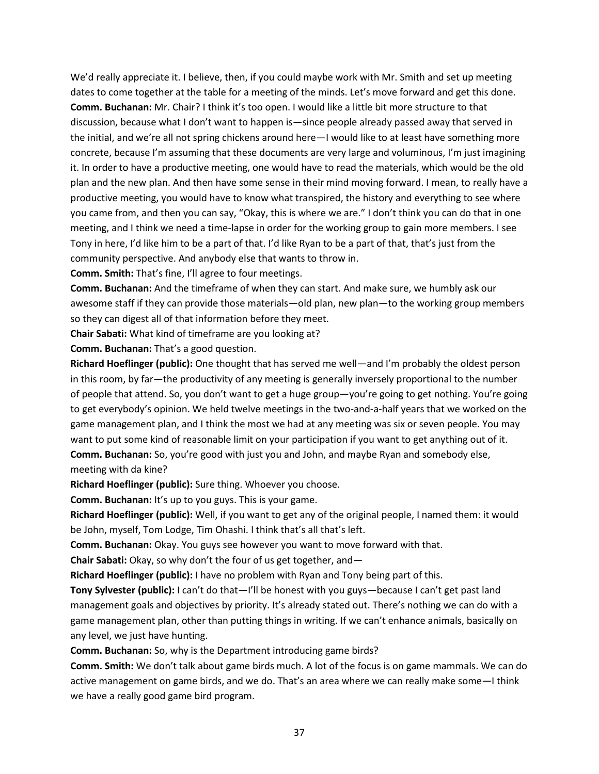We'd really appreciate it. I believe, then, if you could maybe work with Mr. Smith and set up meeting dates to come together at the table for a meeting of the minds. Let's move forward and get this done. **Comm. Buchanan:** Mr. Chair? I think it's too open. I would like a little bit more structure to that discussion, because what I don't want to happen is—since people already passed away that served in the initial, and we're all not spring chickens around here—I would like to at least have something more concrete, because I'm assuming that these documents are very large and voluminous, I'm just imagining it. In order to have a productive meeting, one would have to read the materials, which would be the old plan and the new plan. And then have some sense in their mind moving forward. I mean, to really have a productive meeting, you would have to know what transpired, the history and everything to see where you came from, and then you can say, "Okay, this is where we are." I don't think you can do that in one meeting, and I think we need a time-lapse in order for the working group to gain more members. I see Tony in here, I'd like him to be a part of that. I'd like Ryan to be a part of that, that's just from the community perspective. And anybody else that wants to throw in.

**Comm. Smith:** That's fine, I'll agree to four meetings.

**Comm. Buchanan:** And the timeframe of when they can start. And make sure, we humbly ask our awesome staff if they can provide those materials—old plan, new plan—to the working group members so they can digest all of that information before they meet.

**Chair Sabati:** What kind of timeframe are you looking at?

**Comm. Buchanan:** That's a good question.

**Richard Hoeflinger (public):** One thought that has served me well—and I'm probably the oldest person in this room, by far—the productivity of any meeting is generally inversely proportional to the number of people that attend. So, you don't want to get a huge group—you're going to get nothing. You're going to get everybody's opinion. We held twelve meetings in the two-and-a-half years that we worked on the game management plan, and I think the most we had at any meeting was six or seven people. You may want to put some kind of reasonable limit on your participation if you want to get anything out of it. **Comm. Buchanan:** So, you're good with just you and John, and maybe Ryan and somebody else, meeting with da kine?

**Richard Hoeflinger (public):** Sure thing. Whoever you choose.

**Comm. Buchanan:** It's up to you guys. This is your game.

**Richard Hoeflinger (public):** Well, if you want to get any of the original people, I named them: it would be John, myself, Tom Lodge, Tim Ohashi. I think that's all that's left.

**Comm. Buchanan:** Okay. You guys see however you want to move forward with that.

**Chair Sabati:** Okay, so why don't the four of us get together, and—

**Richard Hoeflinger (public):** I have no problem with Ryan and Tony being part of this.

**Tony Sylvester (public):** I can't do that—I'll be honest with you guys—because I can't get past land management goals and objectives by priority. It's already stated out. There's nothing we can do with a game management plan, other than putting things in writing. If we can't enhance animals, basically on any level, we just have hunting.

**Comm. Buchanan:** So, why is the Department introducing game birds?

**Comm. Smith:** We don't talk about game birds much. A lot of the focus is on game mammals. We can do active management on game birds, and we do. That's an area where we can really make some—I think we have a really good game bird program.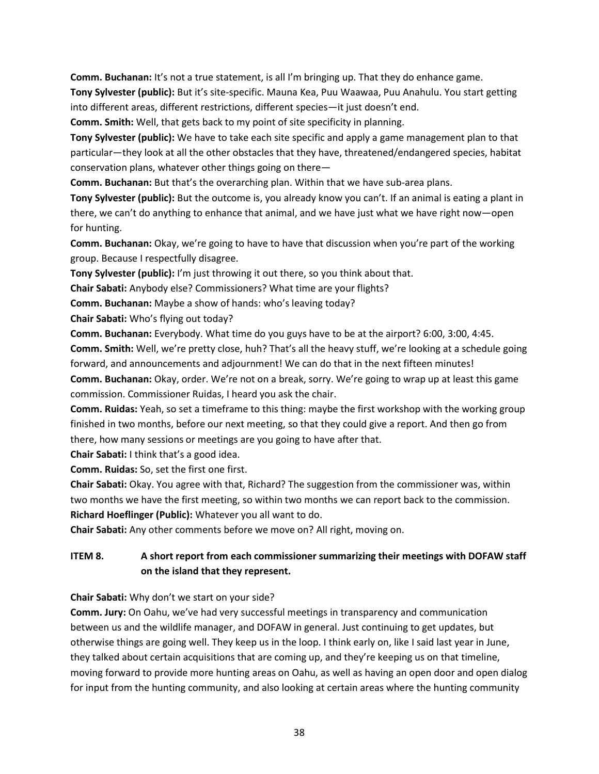**Comm. Buchanan:** It's not a true statement, is all I'm bringing up. That they do enhance game.

**Tony Sylvester (public):** But it's site-specific. Mauna Kea, Puu Waawaa, Puu Anahulu. You start getting into different areas, different restrictions, different species—it just doesn't end.

**Comm. Smith:** Well, that gets back to my point of site specificity in planning.

**Tony Sylvester (public):** We have to take each site specific and apply a game management plan to that particular—they look at all the other obstacles that they have, threatened/endangered species, habitat conservation plans, whatever other things going on there—

**Comm. Buchanan:** But that's the overarching plan. Within that we have sub-area plans.

**Tony Sylvester (public):** But the outcome is, you already know you can't. If an animal is eating a plant in there, we can't do anything to enhance that animal, and we have just what we have right now—open for hunting.

**Comm. Buchanan:** Okay, we're going to have to have that discussion when you're part of the working group. Because I respectfully disagree.

**Tony Sylvester (public):** I'm just throwing it out there, so you think about that.

**Chair Sabati:** Anybody else? Commissioners? What time are your flights?

**Comm. Buchanan:** Maybe a show of hands: who's leaving today?

**Chair Sabati:** Who's flying out today?

**Comm. Buchanan:** Everybody. What time do you guys have to be at the airport? 6:00, 3:00, 4:45.

**Comm. Smith:** Well, we're pretty close, huh? That's all the heavy stuff, we're looking at a schedule going forward, and announcements and adjournment! We can do that in the next fifteen minutes!

**Comm. Buchanan:** Okay, order. We're not on a break, sorry. We're going to wrap up at least this game commission. Commissioner Ruidas, I heard you ask the chair.

**Comm. Ruidas:** Yeah, so set a timeframe to this thing: maybe the first workshop with the working group finished in two months, before our next meeting, so that they could give a report. And then go from there, how many sessions or meetings are you going to have after that.

**Chair Sabati:** I think that's a good idea.

**Comm. Ruidas:** So, set the first one first.

**Chair Sabati:** Okay. You agree with that, Richard? The suggestion from the commissioner was, within two months we have the first meeting, so within two months we can report back to the commission. **Richard Hoeflinger (Public):** Whatever you all want to do.

**Chair Sabati:** Any other comments before we move on? All right, moving on.

# **ITEM 8. A short report from each commissioner summarizing their meetings with DOFAW staff on the island that they represent.**

**Chair Sabati:** Why don't we start on your side?

**Comm. Jury:** On Oahu, we've had very successful meetings in transparency and communication between us and the wildlife manager, and DOFAW in general. Just continuing to get updates, but otherwise things are going well. They keep us in the loop. I think early on, like I said last year in June, they talked about certain acquisitions that are coming up, and they're keeping us on that timeline, moving forward to provide more hunting areas on Oahu, as well as having an open door and open dialog for input from the hunting community, and also looking at certain areas where the hunting community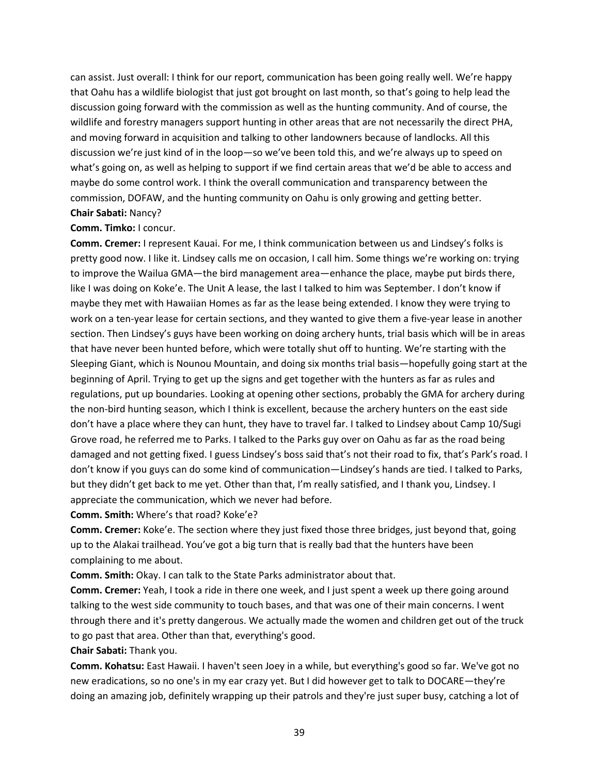can assist. Just overall: I think for our report, communication has been going really well. We're happy that Oahu has a wildlife biologist that just got brought on last month, so that's going to help lead the discussion going forward with the commission as well as the hunting community. And of course, the wildlife and forestry managers support hunting in other areas that are not necessarily the direct PHA, and moving forward in acquisition and talking to other landowners because of landlocks. All this discussion we're just kind of in the loop—so we've been told this, and we're always up to speed on what's going on, as well as helping to support if we find certain areas that we'd be able to access and maybe do some control work. I think the overall communication and transparency between the commission, DOFAW, and the hunting community on Oahu is only growing and getting better. **Chair Sabati:** Nancy?

**Comm. Timko:** I concur.

**Comm. Cremer:** I represent Kauai. For me, I think communication between us and Lindsey's folks is pretty good now. I like it. Lindsey calls me on occasion, I call him. Some things we're working on: trying to improve the Wailua GMA—the bird management area—enhance the place, maybe put birds there, like I was doing on Koke'e. The Unit A lease, the last I talked to him was September. I don't know if maybe they met with Hawaiian Homes as far as the lease being extended. I know they were trying to work on a ten-year lease for certain sections, and they wanted to give them a five-year lease in another section. Then Lindsey's guys have been working on doing archery hunts, trial basis which will be in areas that have never been hunted before, which were totally shut off to hunting. We're starting with the Sleeping Giant, which is Nounou Mountain, and doing six months trial basis—hopefully going start at the beginning of April. Trying to get up the signs and get together with the hunters as far as rules and regulations, put up boundaries. Looking at opening other sections, probably the GMA for archery during the non-bird hunting season, which I think is excellent, because the archery hunters on the east side don't have a place where they can hunt, they have to travel far. I talked to Lindsey about Camp 10/Sugi Grove road, he referred me to Parks. I talked to the Parks guy over on Oahu as far as the road being damaged and not getting fixed. I guess Lindsey's boss said that's not their road to fix, that's Park's road. I don't know if you guys can do some kind of communication—Lindsey's hands are tied. I talked to Parks, but they didn't get back to me yet. Other than that, I'm really satisfied, and I thank you, Lindsey. I appreciate the communication, which we never had before.

**Comm. Smith:** Where's that road? Koke'e?

**Comm. Cremer:** Koke'e. The section where they just fixed those three bridges, just beyond that, going up to the Alakai trailhead. You've got a big turn that is really bad that the hunters have been complaining to me about.

**Comm. Smith:** Okay. I can talk to the State Parks administrator about that.

**Comm. Cremer:** Yeah, I took a ride in there one week, and I just spent a week up there going around talking to the west side community to touch bases, and that was one of their main concerns. I went through there and it's pretty dangerous. We actually made the women and children get out of the truck to go past that area. Other than that, everything's good.

**Chair Sabati:** Thank you.

**Comm. Kohatsu:** East Hawaii. I haven't seen Joey in a while, but everything's good so far. We've got no new eradications, so no one's in my ear crazy yet. But I did however get to talk to DOCARE—they're doing an amazing job, definitely wrapping up their patrols and they're just super busy, catching a lot of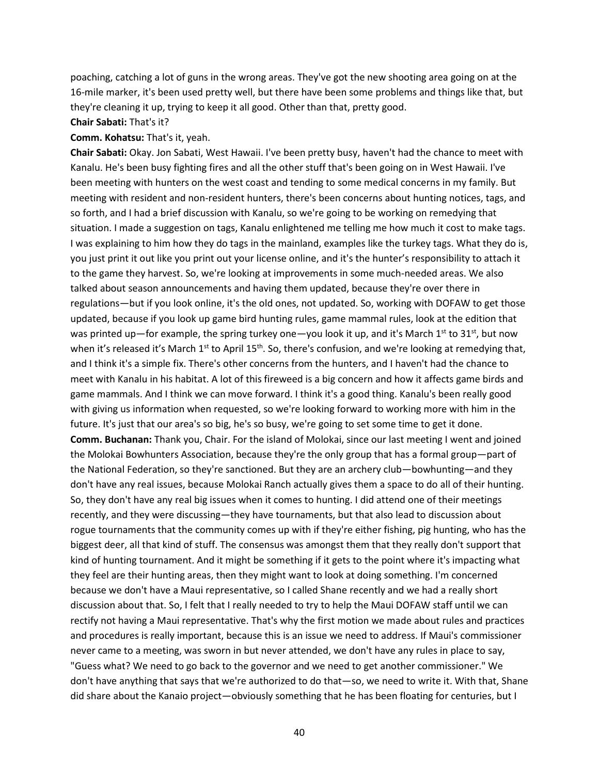poaching, catching a lot of guns in the wrong areas. They've got the new shooting area going on at the 16-mile marker, it's been used pretty well, but there have been some problems and things like that, but they're cleaning it up, trying to keep it all good. Other than that, pretty good.

#### **Chair Sabati:** That's it?

### **Comm. Kohatsu:** That's it, yeah.

**Chair Sabati:** Okay. Jon Sabati, West Hawaii. I've been pretty busy, haven't had the chance to meet with Kanalu. He's been busy fighting fires and all the other stuff that's been going on in West Hawaii. I've been meeting with hunters on the west coast and tending to some medical concerns in my family. But meeting with resident and non-resident hunters, there's been concerns about hunting notices, tags, and so forth, and I had a brief discussion with Kanalu, so we're going to be working on remedying that situation. I made a suggestion on tags, Kanalu enlightened me telling me how much it cost to make tags. I was explaining to him how they do tags in the mainland, examples like the turkey tags. What they do is, you just print it out like you print out your license online, and it's the hunter's responsibility to attach it to the game they harvest. So, we're looking at improvements in some much-needed areas. We also talked about season announcements and having them updated, because they're over there in regulations—but if you look online, it's the old ones, not updated. So, working with DOFAW to get those updated, because if you look up game bird hunting rules, game mammal rules, look at the edition that was printed up—for example, the spring turkey one—you look it up, and it's March 1<sup>st</sup> to 31<sup>st</sup>, but now when it's released it's March 1<sup>st</sup> to April 15<sup>th</sup>. So, there's confusion, and we're looking at remedying that, and I think it's a simple fix. There's other concerns from the hunters, and I haven't had the chance to meet with Kanalu in his habitat. A lot of this fireweed is a big concern and how it affects game birds and game mammals. And I think we can move forward. I think it's a good thing. Kanalu's been really good with giving us information when requested, so we're looking forward to working more with him in the future. It's just that our area's so big, he's so busy, we're going to set some time to get it done. **Comm. Buchanan:** Thank you, Chair. For the island of Molokai, since our last meeting I went and joined the Molokai Bowhunters Association, because they're the only group that has a formal group—part of the National Federation, so they're sanctioned. But they are an archery club—bowhunting—and they don't have any real issues, because Molokai Ranch actually gives them a space to do all of their hunting. So, they don't have any real big issues when it comes to hunting. I did attend one of their meetings recently, and they were discussing—they have tournaments, but that also lead to discussion about rogue tournaments that the community comes up with if they're either fishing, pig hunting, who has the biggest deer, all that kind of stuff. The consensus was amongst them that they really don't support that kind of hunting tournament. And it might be something if it gets to the point where it's impacting what they feel are their hunting areas, then they might want to look at doing something. I'm concerned because we don't have a Maui representative, so I called Shane recently and we had a really short discussion about that. So, I felt that I really needed to try to help the Maui DOFAW staff until we can rectify not having a Maui representative. That's why the first motion we made about rules and practices and procedures is really important, because this is an issue we need to address. If Maui's commissioner never came to a meeting, was sworn in but never attended, we don't have any rules in place to say, "Guess what? We need to go back to the governor and we need to get another commissioner." We don't have anything that says that we're authorized to do that—so, we need to write it. With that, Shane did share about the Kanaio project—obviously something that he has been floating for centuries, but I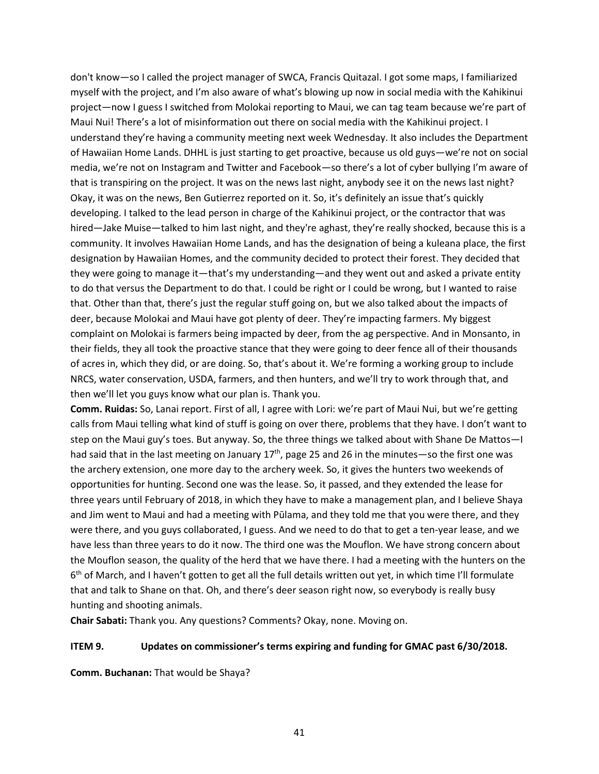don't know—so I called the project manager of SWCA, Francis Quitazal. I got some maps, I familiarized myself with the project, and I'm also aware of what's blowing up now in social media with the Kahikinui project—now I guess I switched from Molokai reporting to Maui, we can tag team because we're part of Maui Nui! There's a lot of misinformation out there on social media with the Kahikinui project. I understand they're having a community meeting next week Wednesday. It also includes the Department of Hawaiian Home Lands. DHHL is just starting to get proactive, because us old guys—we're not on social media, we're not on Instagram and Twitter and Facebook—so there's a lot of cyber bullying I'm aware of that is transpiring on the project. It was on the news last night, anybody see it on the news last night? Okay, it was on the news, Ben Gutierrez reported on it. So, it's definitely an issue that's quickly developing. I talked to the lead person in charge of the Kahikinui project, or the contractor that was hired—Jake Muise—talked to him last night, and they're aghast, they're really shocked, because this is a community. It involves Hawaiian Home Lands, and has the designation of being a kuleana place, the first designation by Hawaiian Homes, and the community decided to protect their forest. They decided that they were going to manage it—that's my understanding—and they went out and asked a private entity to do that versus the Department to do that. I could be right or I could be wrong, but I wanted to raise that. Other than that, there's just the regular stuff going on, but we also talked about the impacts of deer, because Molokai and Maui have got plenty of deer. They're impacting farmers. My biggest complaint on Molokai is farmers being impacted by deer, from the ag perspective. And in Monsanto, in their fields, they all took the proactive stance that they were going to deer fence all of their thousands of acres in, which they did, or are doing. So, that's about it. We're forming a working group to include NRCS, water conservation, USDA, farmers, and then hunters, and we'll try to work through that, and then we'll let you guys know what our plan is. Thank you.

**Comm. Ruidas:** So, Lanai report. First of all, I agree with Lori: we're part of Maui Nui, but we're getting calls from Maui telling what kind of stuff is going on over there, problems that they have. I don't want to step on the Maui guy's toes. But anyway. So, the three things we talked about with Shane De Mattos—I had said that in the last meeting on January 17<sup>th</sup>, page 25 and 26 in the minutes—so the first one was the archery extension, one more day to the archery week. So, it gives the hunters two weekends of opportunities for hunting. Second one was the lease. So, it passed, and they extended the lease for three years until February of 2018, in which they have to make a management plan, and I believe Shaya and Jim went to Maui and had a meeting with Pūlama, and they told me that you were there, and they were there, and you guys collaborated, I guess. And we need to do that to get a ten-year lease, and we have less than three years to do it now. The third one was the Mouflon. We have strong concern about the Mouflon season, the quality of the herd that we have there. I had a meeting with the hunters on the 6<sup>th</sup> of March, and I haven't gotten to get all the full details written out yet, in which time I'll formulate that and talk to Shane on that. Oh, and there's deer season right now, so everybody is really busy hunting and shooting animals.

**Chair Sabati:** Thank you. Any questions? Comments? Okay, none. Moving on.

# **ITEM 9. Updates on commissioner's terms expiring and funding for GMAC past 6/30/2018.**

**Comm. Buchanan:** That would be Shaya?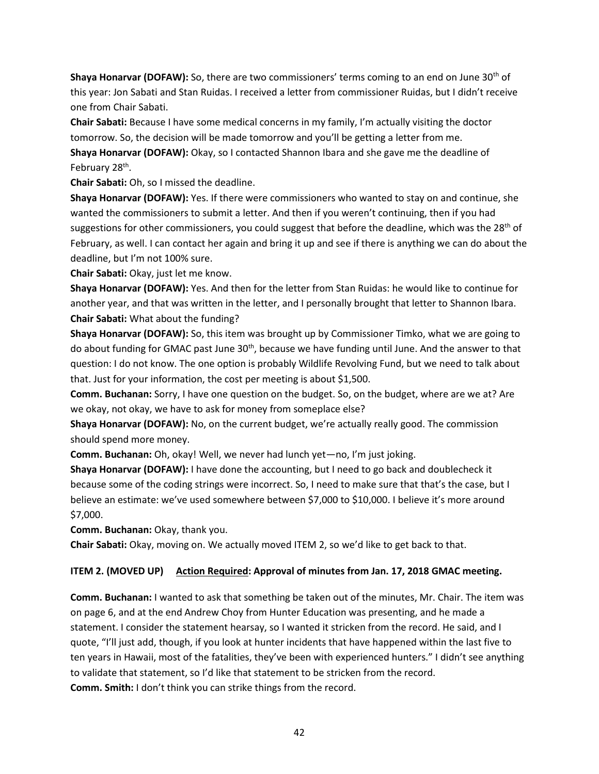**Shaya Honarvar (DOFAW):** So, there are two commissioners' terms coming to an end on June 30<sup>th</sup> of this year: Jon Sabati and Stan Ruidas. I received a letter from commissioner Ruidas, but I didn't receive one from Chair Sabati.

**Chair Sabati:** Because I have some medical concerns in my family, I'm actually visiting the doctor tomorrow. So, the decision will be made tomorrow and you'll be getting a letter from me.

**Shaya Honarvar (DOFAW):** Okay, so I contacted Shannon Ibara and she gave me the deadline of February 28<sup>th</sup>.

**Chair Sabati:** Oh, so I missed the deadline.

**Shaya Honarvar (DOFAW):** Yes. If there were commissioners who wanted to stay on and continue, she wanted the commissioners to submit a letter. And then if you weren't continuing, then if you had suggestions for other commissioners, you could suggest that before the deadline, which was the 28<sup>th</sup> of February, as well. I can contact her again and bring it up and see if there is anything we can do about the deadline, but I'm not 100% sure.

**Chair Sabati:** Okay, just let me know.

**Shaya Honarvar (DOFAW):** Yes. And then for the letter from Stan Ruidas: he would like to continue for another year, and that was written in the letter, and I personally brought that letter to Shannon Ibara. **Chair Sabati:** What about the funding?

**Shaya Honarvar (DOFAW):** So, this item was brought up by Commissioner Timko, what we are going to do about funding for GMAC past June 30<sup>th</sup>, because we have funding until June. And the answer to that question: I do not know. The one option is probably Wildlife Revolving Fund, but we need to talk about that. Just for your information, the cost per meeting is about \$1,500.

**Comm. Buchanan:** Sorry, I have one question on the budget. So, on the budget, where are we at? Are we okay, not okay, we have to ask for money from someplace else?

**Shaya Honarvar (DOFAW):** No, on the current budget, we're actually really good. The commission should spend more money.

**Comm. Buchanan:** Oh, okay! Well, we never had lunch yet—no, I'm just joking.

**Shaya Honarvar (DOFAW):** I have done the accounting, but I need to go back and doublecheck it because some of the coding strings were incorrect. So, I need to make sure that that's the case, but I believe an estimate: we've used somewhere between \$7,000 to \$10,000. I believe it's more around \$7,000.

**Comm. Buchanan:** Okay, thank you.

**Chair Sabati:** Okay, moving on. We actually moved ITEM 2, so we'd like to get back to that.

# **ITEM 2. (MOVED UP) Action Required: Approval of minutes from Jan. 17, 2018 GMAC meeting.**

**Comm. Buchanan:** I wanted to ask that something be taken out of the minutes, Mr. Chair. The item was on page 6, and at the end Andrew Choy from Hunter Education was presenting, and he made a statement. I consider the statement hearsay, so I wanted it stricken from the record. He said, and I quote, "I'll just add, though, if you look at hunter incidents that have happened within the last five to ten years in Hawaii, most of the fatalities, they've been with experienced hunters." I didn't see anything to validate that statement, so I'd like that statement to be stricken from the record. **Comm. Smith:** I don't think you can strike things from the record.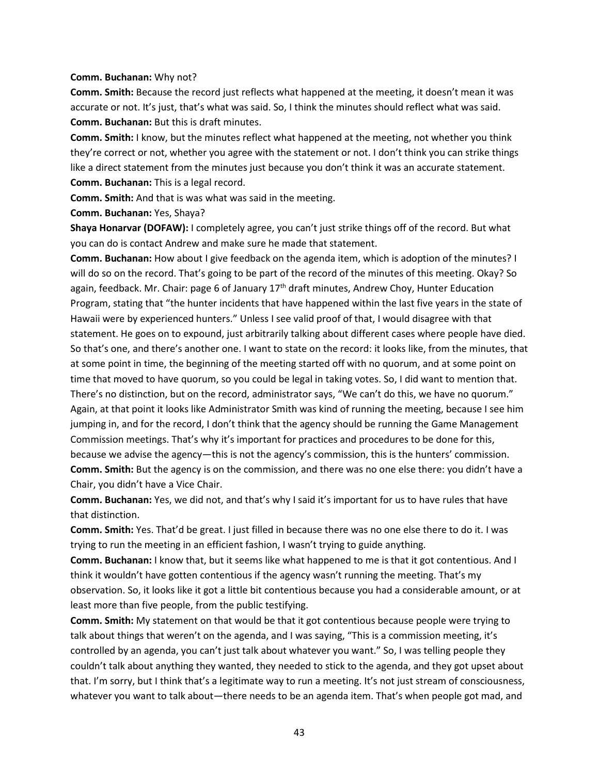#### **Comm. Buchanan:** Why not?

**Comm. Smith:** Because the record just reflects what happened at the meeting, it doesn't mean it was accurate or not. It's just, that's what was said. So, I think the minutes should reflect what was said. **Comm. Buchanan:** But this is draft minutes.

**Comm. Smith:** I know, but the minutes reflect what happened at the meeting, not whether you think they're correct or not, whether you agree with the statement or not. I don't think you can strike things like a direct statement from the minutes just because you don't think it was an accurate statement. **Comm. Buchanan:** This is a legal record.

**Comm. Smith:** And that is was what was said in the meeting.

**Comm. Buchanan:** Yes, Shaya?

**Shaya Honarvar (DOFAW):** I completely agree, you can't just strike things off of the record. But what you can do is contact Andrew and make sure he made that statement.

**Comm. Buchanan:** How about I give feedback on the agenda item, which is adoption of the minutes? I will do so on the record. That's going to be part of the record of the minutes of this meeting. Okay? So again, feedback. Mr. Chair: page 6 of January  $17<sup>th</sup>$  draft minutes, Andrew Choy, Hunter Education Program, stating that "the hunter incidents that have happened within the last five years in the state of Hawaii were by experienced hunters." Unless I see valid proof of that, I would disagree with that statement. He goes on to expound, just arbitrarily talking about different cases where people have died. So that's one, and there's another one. I want to state on the record: it looks like, from the minutes, that at some point in time, the beginning of the meeting started off with no quorum, and at some point on time that moved to have quorum, so you could be legal in taking votes. So, I did want to mention that. There's no distinction, but on the record, administrator says, "We can't do this, we have no quorum." Again, at that point it looks like Administrator Smith was kind of running the meeting, because I see him jumping in, and for the record, I don't think that the agency should be running the Game Management Commission meetings. That's why it's important for practices and procedures to be done for this, because we advise the agency—this is not the agency's commission, this is the hunters' commission. **Comm. Smith:** But the agency is on the commission, and there was no one else there: you didn't have a Chair, you didn't have a Vice Chair.

**Comm. Buchanan:** Yes, we did not, and that's why I said it's important for us to have rules that have that distinction.

**Comm. Smith:** Yes. That'd be great. I just filled in because there was no one else there to do it. I was trying to run the meeting in an efficient fashion, I wasn't trying to guide anything.

**Comm. Buchanan:** I know that, but it seems like what happened to me is that it got contentious. And I think it wouldn't have gotten contentious if the agency wasn't running the meeting. That's my observation. So, it looks like it got a little bit contentious because you had a considerable amount, or at least more than five people, from the public testifying.

**Comm. Smith:** My statement on that would be that it got contentious because people were trying to talk about things that weren't on the agenda, and I was saying, "This is a commission meeting, it's controlled by an agenda, you can't just talk about whatever you want." So, I was telling people they couldn't talk about anything they wanted, they needed to stick to the agenda, and they got upset about that. I'm sorry, but I think that's a legitimate way to run a meeting. It's not just stream of consciousness, whatever you want to talk about—there needs to be an agenda item. That's when people got mad, and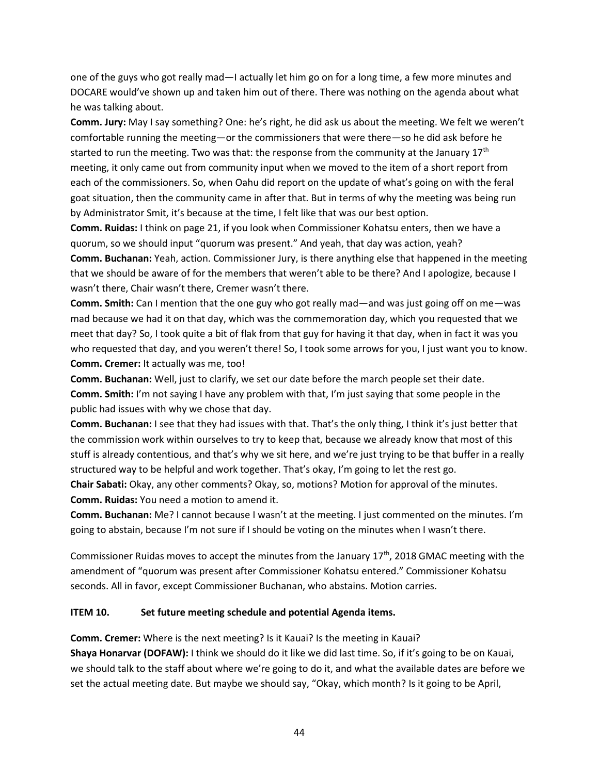one of the guys who got really mad—I actually let him go on for a long time, a few more minutes and DOCARE would've shown up and taken him out of there. There was nothing on the agenda about what he was talking about.

**Comm. Jury:** May I say something? One: he's right, he did ask us about the meeting. We felt we weren't comfortable running the meeting—or the commissioners that were there—so he did ask before he started to run the meeting. Two was that: the response from the community at the January  $17<sup>th</sup>$ meeting, it only came out from community input when we moved to the item of a short report from each of the commissioners. So, when Oahu did report on the update of what's going on with the feral goat situation, then the community came in after that. But in terms of why the meeting was being run by Administrator Smit, it's because at the time, I felt like that was our best option.

**Comm. Ruidas:** I think on page 21, if you look when Commissioner Kohatsu enters, then we have a quorum, so we should input "quorum was present." And yeah, that day was action, yeah? **Comm. Buchanan:** Yeah, action. Commissioner Jury, is there anything else that happened in the meeting that we should be aware of for the members that weren't able to be there? And I apologize, because I wasn't there, Chair wasn't there, Cremer wasn't there.

**Comm. Smith:** Can I mention that the one guy who got really mad—and was just going off on me—was mad because we had it on that day, which was the commemoration day, which you requested that we meet that day? So, I took quite a bit of flak from that guy for having it that day, when in fact it was you who requested that day, and you weren't there! So, I took some arrows for you, I just want you to know. **Comm. Cremer:** It actually was me, too!

**Comm. Buchanan:** Well, just to clarify, we set our date before the march people set their date. **Comm. Smith:** I'm not saying I have any problem with that, I'm just saying that some people in the public had issues with why we chose that day.

**Comm. Buchanan:** I see that they had issues with that. That's the only thing, I think it's just better that the commission work within ourselves to try to keep that, because we already know that most of this stuff is already contentious, and that's why we sit here, and we're just trying to be that buffer in a really structured way to be helpful and work together. That's okay, I'm going to let the rest go.

**Chair Sabati:** Okay, any other comments? Okay, so, motions? Motion for approval of the minutes. **Comm. Ruidas:** You need a motion to amend it.

**Comm. Buchanan:** Me? I cannot because I wasn't at the meeting. I just commented on the minutes. I'm going to abstain, because I'm not sure if I should be voting on the minutes when I wasn't there.

Commissioner Ruidas moves to accept the minutes from the January  $17<sup>th</sup>$ , 2018 GMAC meeting with the amendment of "quorum was present after Commissioner Kohatsu entered." Commissioner Kohatsu seconds. All in favor, except Commissioner Buchanan, who abstains. Motion carries.

### **ITEM 10. Set future meeting schedule and potential Agenda items.**

**Comm. Cremer:** Where is the next meeting? Is it Kauai? Is the meeting in Kauai? **Shaya Honarvar (DOFAW):** I think we should do it like we did last time. So, if it's going to be on Kauai, we should talk to the staff about where we're going to do it, and what the available dates are before we set the actual meeting date. But maybe we should say, "Okay, which month? Is it going to be April,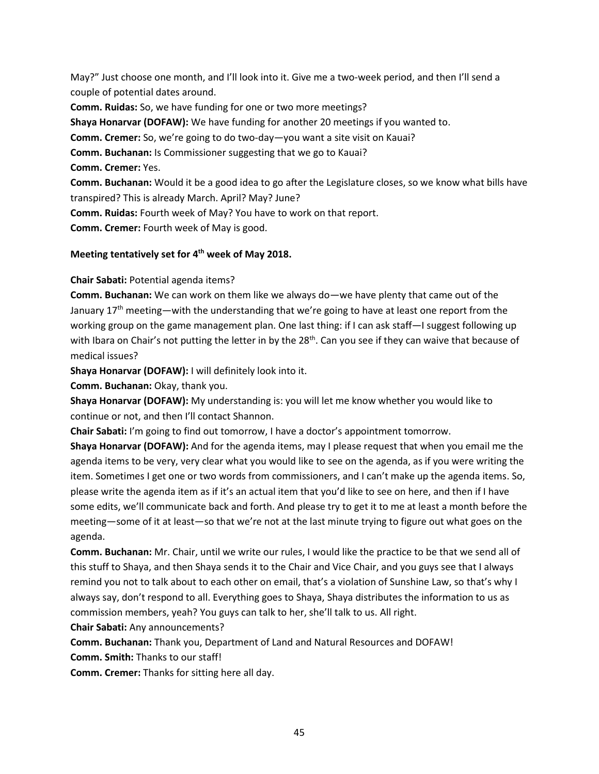May?" Just choose one month, and I'll look into it. Give me a two-week period, and then I'll send a couple of potential dates around.

**Comm. Ruidas:** So, we have funding for one or two more meetings? **Shaya Honarvar (DOFAW):** We have funding for another 20 meetings if you wanted to. **Comm. Cremer:** So, we're going to do two-day—you want a site visit on Kauai? **Comm. Buchanan:** Is Commissioner suggesting that we go to Kauai? **Comm. Cremer:** Yes. **Comm. Buchanan:** Would it be a good idea to go after the Legislature closes, so we know what bills have transpired? This is already March. April? May? June?

**Comm. Ruidas:** Fourth week of May? You have to work on that report.

**Comm. Cremer:** Fourth week of May is good.

# **Meeting tentatively set for 4 th week of May 2018.**

**Chair Sabati:** Potential agenda items?

**Comm. Buchanan:** We can work on them like we always do—we have plenty that came out of the January 17<sup>th</sup> meeting—with the understanding that we're going to have at least one report from the working group on the game management plan. One last thing: if I can ask staff—I suggest following up with Ibara on Chair's not putting the letter in by the 28<sup>th</sup>. Can you see if they can waive that because of medical issues?

**Shaya Honarvar (DOFAW):** I will definitely look into it.

**Comm. Buchanan:** Okay, thank you.

**Shaya Honarvar (DOFAW):** My understanding is: you will let me know whether you would like to continue or not, and then I'll contact Shannon.

**Chair Sabati:** I'm going to find out tomorrow, I have a doctor's appointment tomorrow.

**Shaya Honarvar (DOFAW):** And for the agenda items, may I please request that when you email me the agenda items to be very, very clear what you would like to see on the agenda, as if you were writing the item. Sometimes I get one or two words from commissioners, and I can't make up the agenda items. So, please write the agenda item as if it's an actual item that you'd like to see on here, and then if I have some edits, we'll communicate back and forth. And please try to get it to me at least a month before the meeting—some of it at least—so that we're not at the last minute trying to figure out what goes on the agenda.

**Comm. Buchanan:** Mr. Chair, until we write our rules, I would like the practice to be that we send all of this stuff to Shaya, and then Shaya sends it to the Chair and Vice Chair, and you guys see that I always remind you not to talk about to each other on email, that's a violation of Sunshine Law, so that's why I always say, don't respond to all. Everything goes to Shaya, Shaya distributes the information to us as commission members, yeah? You guys can talk to her, she'll talk to us. All right.

**Chair Sabati:** Any announcements?

**Comm. Buchanan:** Thank you, Department of Land and Natural Resources and DOFAW!

**Comm. Smith:** Thanks to our staff!

**Comm. Cremer:** Thanks for sitting here all day.